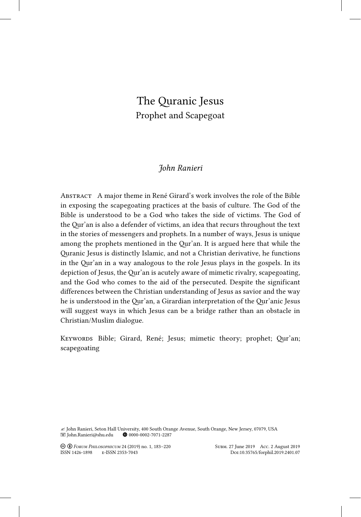# The Quranic Jesus Prophet and Scapegoat

## *John Ranieri*

Abstract A major theme in René Girard's work involves the role of the Bible in exposing the scapegoating practices at the basis of culture. The God of the Bible is understood to be a God who takes the side of victims. The God of the Qur'an is also a defender of victims, an idea that recurs throughout the text in the stories of messengers and prophets. In a number of ways, Jesus is unique among the prophets mentioned in the Qur'an. It is argued here that while the Quranic Jesus is distinctly Islamic, and not a Christian derivative, he functions in the Qur'an in a way analogous to the role Jesus plays in the gospels. In its depiction of Jesus, the Qur'an is acutely aware of mimetic rivalry, scapegoating, and the God who comes to the aid of the persecuted. Despite the significant differences between the Christian understanding of Jesus as savior and the way he is understood in the Qur'an, a Girardian interpretation of the Qur'anic Jesus will suggest ways in which Jesus can be a bridge rather than an obstacle in Christian/Muslim dialogue.

Keywords Bible; Girard, René; Jesus; mimetic theory; prophet; Qur'an; scapegoating

" John Ranieri, Seton Hall University, 400 South Orange Avenue, South Orange, New Jersey, 07079, USA John.Ranieri@shu.edu B 0000-0002-7071-2287

! " *Forum Philosophicum* 24 (2019) no. 1, 183–220 Subm. 27 June 2019 Acc. 2 August 2019

ISSN 1426-1898 e-ISSN 2353-7043 Doi:10.35765/forphil.2019.2401.07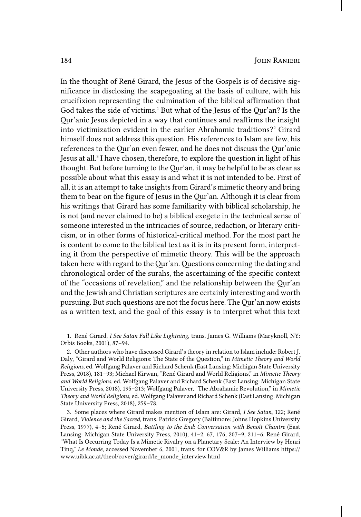In the thought of René Girard, the Jesus of the Gospels is of decisive significance in disclosing the scapegoating at the basis of culture, with his crucifixion representing the culmination of the biblical affirmation that God takes the side of victims.<sup>1</sup> But what of the Jesus of the Qur'an? Is the Qur'anic Jesus depicted in a way that continues and reaffirms the insight into victimization evident in the earlier Abrahamic traditions?<sup>2</sup> Girard himself does not address this question. His references to Islam are few, his references to the Qur'an even fewer, and he does not discuss the Qur'anic Jesus at all.<sup>3</sup> I have chosen, therefore, to explore the question in light of his thought. But before turning to the Qur'an, it may be helpful to be as clear as possible about what this essay is and what it is not intended to be. First of all, it is an attempt to take insights from Girard's mimetic theory and bring them to bear on the figure of Jesus in the Qur'an. Although it is clear from his writings that Girard has some familiarity with biblical scholarship, he is not (and never claimed to be) a biblical exegete in the technical sense of someone interested in the intricacies of source, redaction, or literary criticism, or in other forms of historical-critical method. For the most part he is content to come to the biblical text as it is in its present form, interpreting it from the perspective of mimetic theory. This will be the approach taken here with regard to the Qur'an. Questions concerning the dating and chronological order of the surahs, the ascertaining of the specific context of the "occasions of revelation," and the relationship between the Qur'an and the Jewish and Christian scriptures are certainly interesting and worth pursuing. But such questions are not the focus here. The Qur'an now exists as a written text, and the goal of this essay is to interpret what this text

1. René Girard, *I See Satan Fall Like Lightning*, trans. James G. Williams (Maryknoll, NY: Orbis Books, 2001), 87–94.

2. Other authors who have discussed Girard's theory in relation to Islam include: Robert J. Daly, "Girard and World Religions: The State of the Question," in *Mimetic Theory and World Religions*, ed. Wolfgang Palaver and Richard Schenk (East Lansing: Michigan State University Press, 2018), 181–93; Michael Kirwan, "René Girard and World Religions," in *Mimetic Theory and World Religions*, ed. Wolfgang Palaver and Richard Schenk (East Lansing: Michigan State University Press, 2018), 195–213; Wolfgang Palaver, "The Abrahamic Revolution," in *Mimetic Theory and World Religions*, ed. Wolfgang Palaver and Richard Schenk (East Lansing: Michigan State University Press, 2018), 259–78.

3. Some places where Girard makes mention of Islam are: Girard, *I See Satan*, 122; René Girard, *Violence and the Sacred*, trans. Patrick Gregory (Baltimore: Johns Hopkins University Press, 1977), 4–5; René Girard, *Battling to the End: Conversation with Benoît Chantre* (East Lansing: Michigan State University Press, 2010), 41–2, 67, 176, 207–9, 211–6. René Girard, "What Is Occurring Today Is a Mimetic Rivalry on a Planetary Scale: An Interview by Henri Tinq," *Le Monde*, accessed November 6, 2001, trans. for COV&R by James Williams https:// www.uibk.ac.at/theol/cover/girard/le\_monde\_interview.html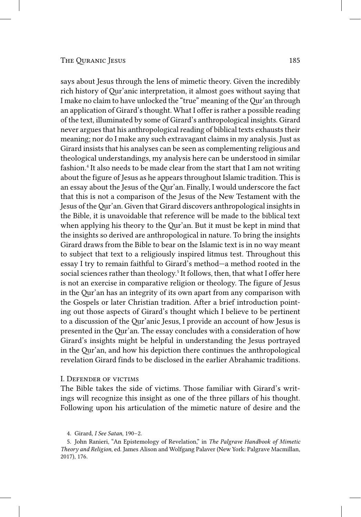says about Jesus through the lens of mimetic theory. Given the incredibly rich history of Qur'anic interpretation, it almost goes without saying that I make no claim to have unlocked the "true" meaning of the Qur'an through an application of Girard's thought. What I offer is rather a possible reading of the text, illuminated by some of Girard's anthropological insights. Girard never argues that his anthropological reading of biblical texts exhausts their meaning; nor do I make any such extravagant claims in my analysis. Just as Girard insists that his analyses can be seen as complementing religious and theological understandings, my analysis here can be understood in similar fashion.<sup>4</sup> It also needs to be made clear from the start that I am not writing about the figure of Jesus as he appears throughout Islamic tradition. This is an essay about the Jesus of the Qur'an. Finally, I would underscore the fact that this is not a comparison of the Jesus of the New Testament with the Jesus of the Qur'an. Given that Girard discovers anthropological insights in the Bible, it is unavoidable that reference will be made to the biblical text when applying his theory to the Qur'an. But it must be kept in mind that the insights so derived are anthropological in nature. To bring the insights Girard draws from the Bible to bear on the Islamic text is in no way meant to subject that text to a religiously inspired litmus test. Throughout this essay I try to remain faithful to Girard's method—a method rooted in the social sciences rather than theology.<sup>5</sup> It follows, then, that what I offer here is not an exercise in comparative religion or theology. The figure of Jesus in the Qur'an has an integrity of its own apart from any comparison with the Gospels or later Christian tradition. After a brief introduction pointing out those aspects of Girard's thought which I believe to be pertinent to a discussion of the Qur'anic Jesus, I provide an account of how Jesus is presented in the Qur'an. The essay concludes with a consideration of how Girard's insights might be helpful in understanding the Jesus portrayed in the Qur'an, and how his depiction there continues the anthropological revelation Girard finds to be disclosed in the earlier Abrahamic traditions.

#### I. Defender of victims

The Bible takes the side of victims. Those familiar with Girard's writings will recognize this insight as one of the three pillars of his thought. Following upon his articulation of the mimetic nature of desire and the

<sup>4.</sup> Girard, *I See Satan*, 190–2.

<sup>5.</sup> John Ranieri, "An Epistemology of Revelation," in *The Palgrave Handbook of Mimetic Theory and Religion*, ed. James Alison and Wolfgang Palaver (New York: Palgrave Macmillan, 2017), 176.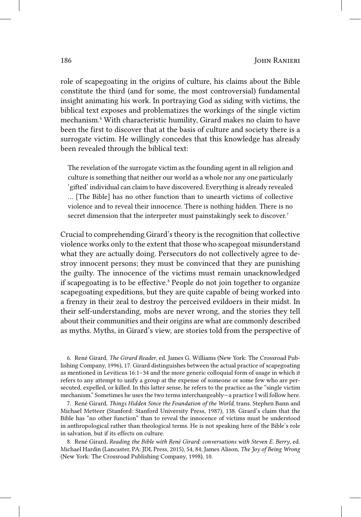role of scapegoating in the origins of culture, his claims about the Bible constitute the third (and for some, the most controversial) fundamental insight animating his work. In portraying God as siding with victims, the biblical text exposes and problematizes the workings of the single victim mechanism.6 With characteristic humility, Girard makes no claim to have been the first to discover that at the basis of culture and society there is a surrogate victim. He willingly concedes that this knowledge has already been revealed through the biblical text:

The revelation of the surrogate victim as the founding agent in all religion and culture is something that neither our world as a whole nor any one particularly 'gifted' individual can claim to have discovered. Everything is already revealed … [The Bible] has no other function than to unearth victims of collective violence and to reveal their innocence. There is nothing hidden. There is no secret dimension that the interpreter must painstakingly seek to discover.<sup>7</sup>

Crucial to comprehending Girard's theory is the recognition that collective violence works only to the extent that those who scapegoat misunderstand what they are actually doing. Persecutors do not collectively agree to destroy innocent persons; they must be convinced that they are punishing the guilty. The innocence of the victims must remain unacknowledged if scapegoating is to be effective.<sup>8</sup> People do not join together to organize scapegoating expeditions, but they are quite capable of being worked into a frenzy in their zeal to destroy the perceived evildoers in their midst. In their self-understanding, mobs are never wrong, and the stories they tell about their communities and their origins are what are commonly described as myths. Myths, in Girard's view, are stories told from the perspective of

6. René Girard, *The Girard Reader*, ed. James G. Williams (New York: The Crossroad Publishing Company, 1996), 17. Girard distinguishes between the actual practice of scapegoating as mentioned in Leviticus 16:1–34 and the more generic colloquial form of usage in which it refers to any attempt to unify a group at the expense of someone or some few who are persecuted, expelled, or killed. In this latter sense, he refers to the practice as the "single victim mechanism." Sometimes he uses the two terms interchangeably—a practice I will follow here.

7. René Girard, *Things Hidden Since the Foundation of the World*, trans. Stephen Bann and Michael Metteer (Stanford: Stanford University Press, 1987), 138. Girard's claim that the Bible has "no other function" than to reveal the innocence of victims must be understood in anthropological rather than theological terms. He is not speaking here of the Bible's role in salvation, but if its effects on culture.

8. René Girard, *Reading the Bible with René Girard: conversations with Steven E. Berry*, ed. Michael Hardin (Lancaster, PA: JDL Press, 2015), 54, 84; James Alison, *The Joy of Being Wrong* (New York: The Crossroad Publishing Company, 1998), 10.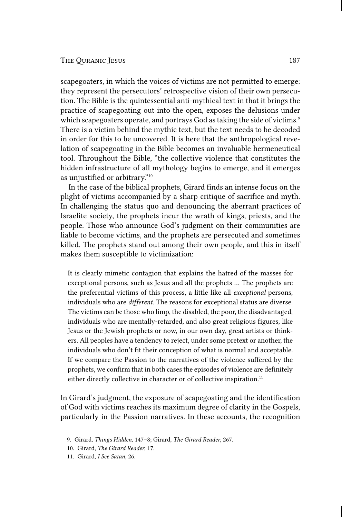scapegoaters, in which the voices of victims are not permitted to emerge: they represent the persecutors' retrospective vision of their own persecution. The Bible is the quintessential anti-mythical text in that it brings the practice of scapegoating out into the open, exposes the delusions under which scapegoaters operate, and portrays God as taking the side of victims.<sup>9</sup> There is a victim behind the mythic text, but the text needs to be decoded in order for this to be uncovered. It is here that the anthropological revelation of scapegoating in the Bible becomes an invaluable hermeneutical tool. Throughout the Bible, "the collective violence that constitutes the hidden infrastructure of all mythology begins to emerge, and it emerges as unjustified or arbitrary."10

In the case of the biblical prophets, Girard finds an intense focus on the plight of victims accompanied by a sharp critique of sacrifice and myth. In challenging the status quo and denouncing the aberrant practices of Israelite society, the prophets incur the wrath of kings, priests, and the people. Those who announce God's judgment on their communities are liable to become victims, and the prophets are persecuted and sometimes killed. The prophets stand out among their own people, and this in itself makes them susceptible to victimization:

It is clearly mimetic contagion that explains the hatred of the masses for exceptional persons, such as Jesus and all the prophets … The prophets are the preferential victims of this process, a little like all *exceptional* persons, individuals who are *different*. The reasons for exceptional status are diverse. The victims can be those who limp, the disabled, the poor, the disadvantaged, individuals who are mentally-retarded, and also great religious figures, like Jesus or the Jewish prophets or now, in our own day, great artists or thinkers. All peoples have a tendency to reject, under some pretext or another, the individuals who don't fit their conception of what is normal and acceptable. If we compare the Passion to the narratives of the violence suffered by the prophets, we confirm that in both cases the episodes of violence are definitely either directly collective in character or of collective inspiration.<sup>11</sup>

In Girard's judgment, the exposure of scapegoating and the identification of God with victims reaches its maximum degree of clarity in the Gospels, particularly in the Passion narratives. In these accounts, the recognition

<sup>9.</sup> Girard, *Things Hidden*, 147–8; Girard, *The Girard Reader*, 267.

<sup>10.</sup> Girard, *The Girard Reader*, 17.

<sup>11.</sup> Girard, *I See Satan*, 26.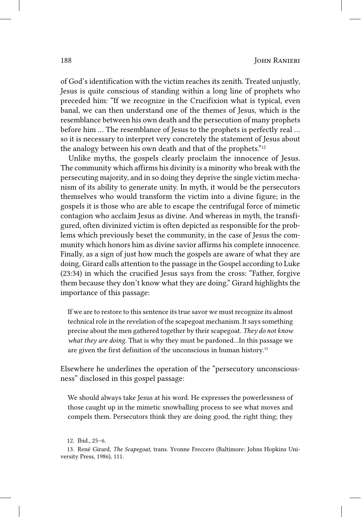of God's identification with the victim reaches its zenith. Treated unjustly, Jesus is quite conscious of standing within a long line of prophets who preceded him: "If we recognize in the Crucifixion what is typical, even banal, we can then understand one of the themes of Jesus, which is the resemblance between his own death and the persecution of many prophets before him … The resemblance of Jesus to the prophets is perfectly real … so it is necessary to interpret very concretely the statement of Jesus about the analogy between his own death and that of the prophets."12

Unlike myths, the gospels clearly proclaim the innocence of Jesus. The community which affirms his divinity is a minority who break with the persecuting majority, and in so doing they deprive the single victim mechanism of its ability to generate unity. In myth, it would be the persecutors themselves who would transform the victim into a divine figure; in the gospels it is those who are able to escape the centrifugal force of mimetic contagion who acclaim Jesus as divine. And whereas in myth, the transfigured, often divinized victim is often depicted as responsible for the problems which previously beset the community, in the case of Jesus the community which honors him as divine savior affirms his complete innocence. Finally, as a sign of just how much the gospels are aware of what they are doing, Girard calls attention to the passage in the Gospel according to Luke (23:34) in which the crucified Jesus says from the cross: "Father, forgive them because they don't know what they are doing." Girard highlights the importance of this passage:

If we are to restore to this sentence its true savor we must recognize its almost technical role in the revelation of the scapegoat mechanism. It says something precise about the men gathered together by their scapegoat. *They do not know what they are doing*. That is why they must be pardoned…In this passage we are given the first definition of the unconscious in human history.<sup>13</sup>

Elsewhere he underlines the operation of the "persecutory unconsciousness" disclosed in this gospel passage:

We should always take Jesus at his word. He expresses the powerlessness of those caught up in the mimetic snowballing process to see what moves and compels them. Persecutors think they are doing good, the right thing; they

<sup>12.</sup> Ibid., 25–6.

<sup>13.</sup> René Girard, *The Scapegoat*, trans. Yvonne Freccero (Baltimore: Johns Hopkins University Press, 1986), 111.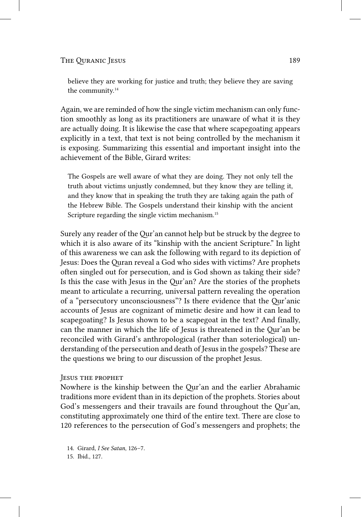The Ouranic Jesus 189

believe they are working for justice and truth; they believe they are saving the community.<sup>14</sup>

Again, we are reminded of how the single victim mechanism can only function smoothly as long as its practitioners are unaware of what it is they are actually doing. It is likewise the case that where scapegoating appears explicitly in a text, that text is not being controlled by the mechanism it is exposing. Summarizing this essential and important insight into the achievement of the Bible, Girard writes:

The Gospels are well aware of what they are doing. They not only tell the truth about victims unjustly condemned, but they know they are telling it, and they know that in speaking the truth they are taking again the path of the Hebrew Bible. The Gospels understand their kinship with the ancient Scripture regarding the single victim mechanism.<sup>15</sup>

Surely any reader of the Qur'an cannot help but be struck by the degree to which it is also aware of its "kinship with the ancient Scripture." In light of this awareness we can ask the following with regard to its depiction of Jesus: Does the Quran reveal a God who sides with victims? Are prophets often singled out for persecution, and is God shown as taking their side? Is this the case with Jesus in the Qur'an? Are the stories of the prophets meant to articulate a recurring, universal pattern revealing the operation of a "persecutory unconsciousness"? Is there evidence that the Qur'anic accounts of Jesus are cognizant of mimetic desire and how it can lead to scapegoating? Is Jesus shown to be a scapegoat in the text? And finally, can the manner in which the life of Jesus is threatened in the Qur'an be reconciled with Girard's anthropological (rather than soteriological) understanding of the persecution and death of Jesus in the gospels? These are the questions we bring to our discussion of the prophet Jesus.

#### Jesus the prophet

Nowhere is the kinship between the Qur'an and the earlier Abrahamic traditions more evident than in its depiction of the prophets. Stories about God's messengers and their travails are found throughout the Qur'an, constituting approximately one third of the entire text. There are close to 120 references to the persecution of God's messengers and prophets; the

14. Girard, *I See Satan*, 126–7.

15. Ibid., 127.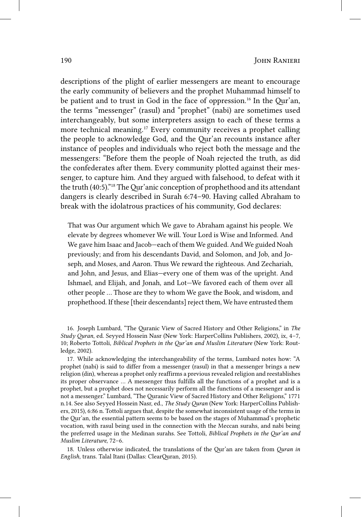descriptions of the plight of earlier messengers are meant to encourage the early community of believers and the prophet Muhammad himself to be patient and to trust in God in the face of oppression.16 In the Qur'an, the terms "messenger" (rasul) and "prophet" (nabi) are sometimes used interchangeably, but some interpreters assign to each of these terms a more technical meaning.17 Every community receives a prophet calling the people to acknowledge God, and the Qur'an recounts instance after instance of peoples and individuals who reject both the message and the messengers: "Before them the people of Noah rejected the truth, as did the confederates after them. Every community plotted against their messenger, to capture him. And they argued with falsehood, to defeat with it the truth (40:5)."18 The Qur'anic conception of prophethood and its attendant dangers is clearly described in Surah 6:74–90. Having called Abraham to break with the idolatrous practices of his community, God declares:

That was Our argument which We gave to Abraham against his people. We elevate by degrees whomever We will. Your Lord is Wise and Informed. And We gave him Isaac and Jacob—each of them We guided. And We guided Noah previously; and from his descendants David, and Solomon, and Job, and Joseph, and Moses, and Aaron. Thus We reward the righteous. And Zechariah, and John, and Jesus, and Elias—every one of them was of the upright. And Ishmael, and Elijah, and Jonah, and Lot—We favored each of them over all other people … Those are they to whom We gave the Book, and wisdom, and prophethood. If these [their descendants] reject them, We have entrusted them

16. Joseph Lumbard, "The Quranic View of Sacred History and Other Religions," in *The Study Quran*, ed. Seyyed Hossein Nasr (New York: HarperCollins Publishers, 2002), ix, 4–7, 10; Roberto Tottoli, *Biblical Prophets in the Qur'an and Muslim Literature* (New York: Routledge, 2002).

17. While acknowledging the interchangeability of the terms, Lumbard notes how: "A prophet (nabi) is said to differ from a messenger (rasul) in that a messenger brings a new religion (din), whereas a prophet only reaffirms a previous revealed religion and reestablishes its proper observance … A messenger thus fulfills all the functions of a prophet and is a prophet, but a prophet does not necessarily perform all the functions of a messenger and is not a messenger." Lumbard, "The Quranic View of Sacred History and Other Religions," 1771 n.14. See also Seyyed Hossein Nasr, ed., *The Study Quran* (New York: HarperCollins Publishers, 2015), 6:86 n. Tottoli argues that, despite the somewhat inconsistent usage of the terms in the Qur'an, the essential pattern seems to be based on the stages of Muhammad's prophetic vocation, with rasul being used in the connection with the Meccan surahs, and nabi being the preferred usage in the Medinan surahs. See Tottoli, *Biblical Prophets in the Qur'an and Muslim Literature*, 72–6.

18. Unless otherwise indicated, the translations of the Qur'an are taken from *Quran in English*, trans. Talal Itani (Dallas: ClearQuran, 2015).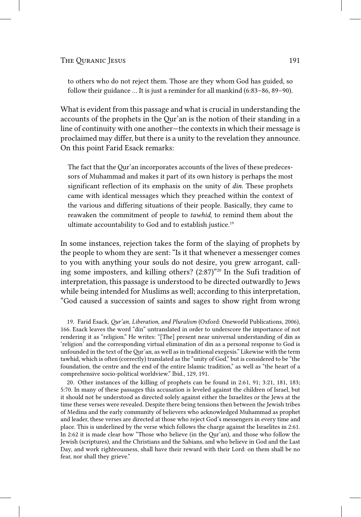to others who do not reject them. Those are they whom God has guided, so follow their guidance … It is just a reminder for all mankind (6:83–86, 89–90).

What is evident from this passage and what is crucial in understanding the accounts of the prophets in the Qur'an is the notion of their standing in a line of continuity with one another—the contexts in which their message is proclaimed may differ, but there is a unity to the revelation they announce. On this point Farid Esack remarks:

The fact that the Qur'an incorporates accounts of the lives of these predecessors of Muhammad and makes it part of its own history is perhaps the most significant reflection of its emphasis on the unity of *din*. These prophets came with identical messages which they preached within the context of the various and differing situations of their people. Basically, they came to reawaken the commitment of people to *tawhid*, to remind them about the ultimate accountability to God and to establish justice.19

In some instances, rejection takes the form of the slaying of prophets by the people to whom they are sent: "Is it that whenever a messenger comes to you with anything your souls do not desire, you grew arrogant, calling some imposters, and killing others? (2:87)"20 In the Sufi tradition of interpretation, this passage is understood to be directed outwardly to Jews while being intended for Muslims as well; according to this interpretation, "God caused a succession of saints and sages to show right from wrong

19. Farid Esack, *Qur'an, Liberation, and Pluralism* (Oxford: Oneworld Publications, 2006), 166. Esack leaves the word "din" untranslated in order to underscore the importance of not rendering it as "religion." He writes: "[The] present near universal understanding of din as 'religion' and the corresponding virtual elimination of din as a personal response to God is unfounded in the text of the Qur'an, as well as in traditional exegesis." Likewise with the term tawhid, which is often (correctly) translated as the "unity of God," but is considered to be "the foundation, the centre and the end of the entire Islamic tradition," as well as "the heart of a comprehensive socio-political worldview." Ibid., 129, 191.

20. Other instances of the killing of prophets can be found in 2:61, 91; 3:21, 181, 183; 5:70. In many of these passages this accusation is leveled against the children of Israel, but it should not be understood as directed solely against either the Israelites or the Jews at the time these verses were revealed. Despite there being tensions then between the Jewish tribes of Medina and the early community of believers who acknowledged Muhammad as prophet and leader, these verses are directed at those who reject God's messengers in every time and place. This is underlined by the verse which follows the charge against the Israelites in 2:61. In 2:62 it is made clear how "Those who believe (in the Qur'an), and those who follow the Jewish (scriptures), and the Christians and the Sabians, and who believe in God and the Last Day, and work righteousness, shall have their reward with their Lord: on them shall be no fear, nor shall they grieve."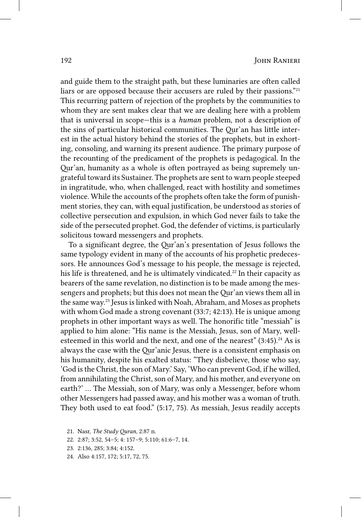and guide them to the straight path, but these luminaries are often called liars or are opposed because their accusers are ruled by their passions."<sup>21</sup> This recurring pattern of rejection of the prophets by the communities to whom they are sent makes clear that we are dealing here with a problem that is universal in scope—this is a *human* problem, not a description of the sins of particular historical communities. The Qur'an has little interest in the actual history behind the stories of the prophets, but in exhorting, consoling, and warning its present audience. The primary purpose of the recounting of the predicament of the prophets is pedagogical. In the Qur'an, humanity as a whole is often portrayed as being supremely ungrateful toward its Sustainer. The prophets are sent to warn people steeped in ingratitude, who, when challenged, react with hostility and sometimes violence. While the accounts of the prophets often take the form of punishment stories, they can, with equal justification, be understood as stories of collective persecution and expulsion, in which God never fails to take the side of the persecuted prophet. God, the defender of victims, is particularly solicitous toward messengers and prophets.

To a significant degree, the Qur'an's presentation of Jesus follows the same typology evident in many of the accounts of his prophetic predecessors. He announces God's message to his people, the message is rejected, his life is threatened, and he is ultimately vindicated.<sup>22</sup> In their capacity as bearers of the same revelation, no distinction is to be made among the messengers and prophets; but this does not mean the Qur'an views them all in the same way.23 Jesus is linked with Noah, Abraham, and Moses as prophets with whom God made a strong covenant (33:7; 42:13). He is unique among prophets in other important ways as well. The honorific title "messiah" is applied to him alone: "His name is the Messiah, Jesus, son of Mary, wellesteemed in this world and the next, and one of the nearest"  $(3:45).^{24}$  As is always the case with the Qur'anic Jesus, there is a consistent emphasis on his humanity, despite his exalted status: "They disbelieve, those who say, 'God is the Christ, the son of Mary.' Say, 'Who can prevent God, if he willed, from annihilating the Christ, son of Mary, and his mother, and everyone on earth?' … The Messiah, son of Mary, was only a Messenger, before whom other Messengers had passed away, and his mother was a woman of truth. They both used to eat food." (5:17, 75). As messiah, Jesus readily accepts

24. Also 4:157, 172; 5:17, 72, 75.

<sup>21.</sup> Nasr, *The Study Quran*, 2:87 n.

<sup>22.</sup> 2:87; 3:52, 54–5; 4: 157–9; 5:110; 61:6–7, 14.

<sup>23.</sup> 2:136, 285; 3:84; 4:152.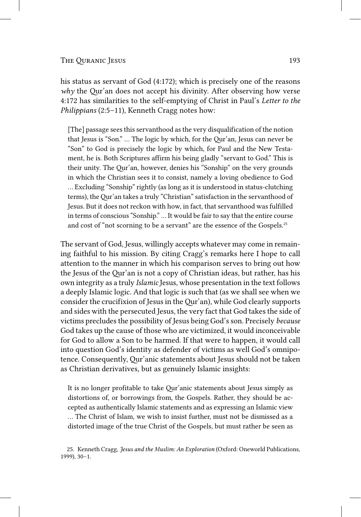his status as servant of God (4:172); which is precisely one of the reasons *why* the Qur'an does not accept his divinity. After observing how verse 4:172 has similarities to the self-emptying of Christ in Paul's *Letter to the Philippians* (2:5–11), Kenneth Cragg notes how:

[The] passage sees this servanthood as the very disqualification of the notion that Jesus is "Son." … The logic by which, for the Qur'an, Jesus can never be "Son" to God is precisely the logic by which, for Paul and the New Testament, he is. Both Scriptures affirm his being gladly "servant to God." This is their unity. The Qur'an, however, denies his "Sonship" on the very grounds in which the Christian sees it to consist, namely a loving obedience to God … Excluding "Sonship" rightly (as long as it is understood in status-clutching terms), the Qur'an takes a truly "Christian" satisfaction in the servanthood of Jesus. But it does not reckon with how, in fact, that servanthood was fulfilled in terms of conscious "Sonship." … It would be fair to say that the entire course and cost of "not scorning to be a servant" are the essence of the Gospels.25

The servant of God, Jesus, willingly accepts whatever may come in remaining faithful to his mission. By citing Cragg's remarks here I hope to call attention to the manner in which his comparison serves to bring out how the Jesus of the Qur'an is not a copy of Christian ideas, but rather, has his own integrity as a truly *Islamic* Jesus, whose presentation in the text follows a deeply Islamic logic. And that logic is such that (as we shall see when we consider the crucifixion of Jesus in the Qur'an), while God clearly supports and sides with the persecuted Jesus, the very fact that God takes the side of victims precludes the possibility of Jesus being God's son. Precisely *because* God takes up the cause of those who are victimized, it would inconceivable for God to allow a Son to be harmed. If that were to happen, it would call into question God's identity as defender of victims as well God's omnipotence. Consequently, Qur'anic statements about Jesus should not be taken as Christian derivatives, but as genuinely Islamic insights:

It is no longer profitable to take Qur'anic statements about Jesus simply as distortions of, or borrowings from, the Gospels. Rather, they should be accepted as authentically Islamic statements and as expressing an Islamic view … The Christ of Islam, we wish to insist further, must not be dismissed as a distorted image of the true Christ of the Gospels, but must rather be seen as

<sup>25.</sup> Kenneth Cragg, *Jesus and the Muslim: An Exploration* (Oxford: Oneworld Publications, 1999), 30–1.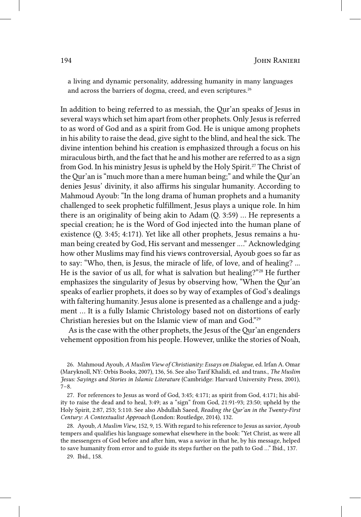a living and dynamic personality, addressing humanity in many languages and across the barriers of dogma, creed, and even scriptures.<sup>26</sup>

In addition to being referred to as messiah, the Qur'an speaks of Jesus in several ways which set him apart from other prophets. Only Jesus is referred to as word of God and as a spirit from God. He is unique among prophets in his ability to raise the dead, give sight to the blind, and heal the sick. The divine intention behind his creation is emphasized through a focus on his miraculous birth, and the fact that he and his mother are referred to as a sign from God. In his ministry Jesus is upheld by the Holy Spirit.27 The Christ of the Qur'an is "much more than a mere human being;" and while the Qur'an denies Jesus' divinity, it also affirms his singular humanity. According to Mahmoud Ayoub: "In the long drama of human prophets and a humanity challenged to seek prophetic fulfillment, Jesus plays a unique role. In him there is an originality of being akin to Adam (Q. 3:59) … He represents a special creation; he is the Word of God injected into the human plane of existence (Q. 3:45; 4:171). Yet like all other prophets, Jesus remains a human being created by God, His servant and messenger .…" Acknowledging how other Muslims may find his views controversial, Ayoub goes so far as to say: "Who, then, is Jesus, the miracle of life, of love, and of healing? ... He is the savior of us all, for what is salvation but healing?"<sup>28</sup> He further emphasizes the singularity of Jesus by observing how, "When the Qur'an speaks of earlier prophets, it does so by way of examples of God's dealings with faltering humanity. Jesus alone is presented as a challenge and a judgment … It is a fully Islamic Christology based not on distortions of early Christian heresies but on the Islamic view of man and God."29

As is the case with the other prophets, the Jesus of the Qur'an engenders vehement opposition from his people. However, unlike the stories of Noah,

<sup>26.</sup> Mahmoud Ayoub, *A Muslim View of Christianity: Essays on Dialogue*, ed. Irfan A. Omar (Maryknoll, NY: Orbis Books, 2007), 136, 56. See also Tarif Khalidi, ed. and trans., *The Muslim Jesus: Sayings and Stories in Islamic Literature* (Cambridge: Harvard University Press, 2001), 7–8.

<sup>27.</sup> For references to Jesus as word of God, 3:45; 4:171; as spirit from God, 4:171; his ability to raise the dead and to heal, 3:49; as a "sign" from God, 21:91-93; 23:50; upheld by the Holy Spirit, 2:87, 253; 5:110. See also Abdullah Saeed, *Reading the Qur'an in the Twenty-First Century: A Contextualist Approach* (London: Routledge, 2014), 132.

<sup>28.</sup> Ayoub, *A Muslim View*, 152, 9, 15. With regard to his reference to Jesus as savior, Ayoub tempers and qualifies his language somewhat elsewhere in the book: "Yet Christ, as were all the messengers of God before and after him, was a savior in that he, by his message, helped to save humanity from error and to guide its steps further on the path to God …" Ibid., 137.

<sup>29.</sup> Ibid., 158.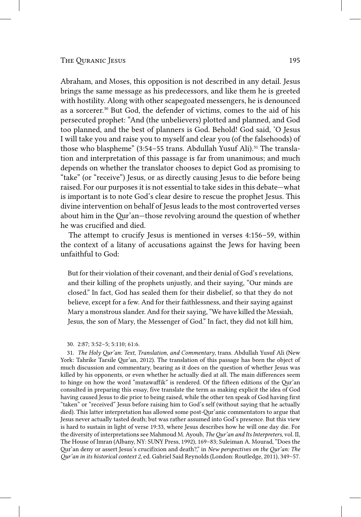Abraham, and Moses, this opposition is not described in any detail. Jesus brings the same message as his predecessors, and like them he is greeted with hostility. Along with other scapegoated messengers, he is denounced as a sorcerer.<sup>30</sup> But God, the defender of victims, comes to the aid of his persecuted prophet: "And (the unbelievers) plotted and planned, and God too planned, and the best of planners is God. Behold! God said, 'O Jesus I will take you and raise you to myself and clear you (of the falsehoods) of those who blaspheme" (3:54–55 trans. Abdullah Yusuf Ali).<sup>31</sup> The translation and interpretation of this passage is far from unanimous; and much depends on whether the translator chooses to depict God as promising to "take" (or "receive") Jesus, or as directly causing Jesus to die before being raised. For our purposes it is not essential to take sides in this debate—what is important is to note God's clear desire to rescue the prophet Jesus. This divine intervention on behalf of Jesus leads to the most controverted verses about him in the Qur'an—those revolving around the question of whether he was crucified and died.

The attempt to crucify Jesus is mentioned in verses 4:156–59, within the context of a litany of accusations against the Jews for having been unfaithful to God:

But for their violation of their covenant, and their denial of God's revelations, and their killing of the prophets unjustly, and their saying, "Our minds are closed." In fact, God has sealed them for their disbelief, so that they do not believe, except for a few. And for their faithlessness, and their saying against Mary a monstrous slander. And for their saying, "We have killed the Messiah, Jesus, the son of Mary, the Messenger of God." In fact, they did not kill him,

31. *The Holy Qur'an: Text, Translation, and Commentary*, trans. Abdullah Yusuf Ali (New York: Tahrike Tarsile Qur'an, 2012). The translation of this passage has been the object of much discussion and commentary, bearing as it does on the question of whether Jesus was killed by his opponents, or even whether he actually died at all. The main differences seem to hinge on how the word "mutawaffik" is rendered. Of the fifteen editions of the Qur'an consulted in preparing this essay, five translate the term as making explicit the idea of God having caused Jesus to die prior to being raised, while the other ten speak of God having first "taken" or "received" Jesus before raising him to God's self (without saying that he actually died). This latter interpretation has allowed some post-Qur'anic commentators to argue that Jesus never actually tasted death; but was rather assumed into God's presence. But this view is hard to sustain in light of verse 19:33, where Jesus describes how he will one day die. For the diversity of interpretations see Mahmoud M. Ayoub, *The Qur'an and Its Interpreters*, vol. II, The House of Imran (Albany, NY: SUNY Press, 1992), 169–83; Suleiman A. Mourad, "Does the Qur'an deny or assert Jesus's crucifixion and death?," in *New perspectives on the Qur'an: The Qur'an in its historical context 2*, ed. Gabriel Said Reynolds (London: Routledge, 2011), 349–57.

<sup>30.</sup> 2:87; 3:52–5; 5:110; 61:6.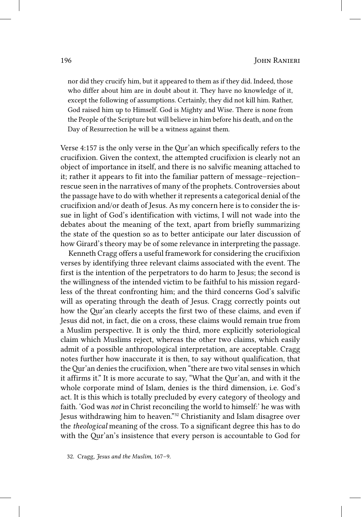nor did they crucify him, but it appeared to them as if they did. Indeed, those who differ about him are in doubt about it. They have no knowledge of it, except the following of assumptions. Certainly, they did not kill him. Rather, God raised him up to Himself. God is Mighty and Wise. There is none from the People of the Scripture but will believe in him before his death, and on the Day of Resurrection he will be a witness against them.

Verse 4:157 is the only verse in the Qur'an which specifically refers to the crucifixion. Given the context, the attempted crucifixion is clearly not an object of importance in itself, and there is no salvific meaning attached to it; rather it appears to fit into the familiar pattern of message–rejection– rescue seen in the narratives of many of the prophets. Controversies about the passage have to do with whether it represents a categorical denial of the crucifixion and/or death of Jesus. As my concern here is to consider the issue in light of God's identification with victims, I will not wade into the debates about the meaning of the text, apart from briefly summarizing the state of the question so as to better anticipate our later discussion of how Girard's theory may be of some relevance in interpreting the passage.

Kenneth Cragg offers a useful framework for considering the crucifixion verses by identifying three relevant claims associated with the event. The first is the intention of the perpetrators to do harm to Jesus; the second is the willingness of the intended victim to be faithful to his mission regardless of the threat confronting him; and the third concerns God's salvific will as operating through the death of Jesus. Cragg correctly points out how the Qur'an clearly accepts the first two of these claims, and even if Jesus did not, in fact, die on a cross, these claims would remain true from a Muslim perspective. It is only the third, more explicitly soteriological claim which Muslims reject, whereas the other two claims, which easily admit of a possible anthropological interpretation, are acceptable. Cragg notes further how inaccurate it is then, to say without qualification, that the Qur'an denies the crucifixion, when "there are two vital senses in which it affirms it." It is more accurate to say, "What the Qur'an, and with it the whole corporate mind of Islam, denies is the third dimension, i.e. God's act. It is this which is totally precluded by every category of theology and faith. 'God was *not* in Christ reconciling the world to himself:' he was with Jesus withdrawing him to heaven."32 Christianity and Islam disagree over the *theological* meaning of the cross. To a significant degree this has to do with the Qur'an's insistence that every person is accountable to God for

32. Cragg, *Jesus and the Muslim*, 167–9.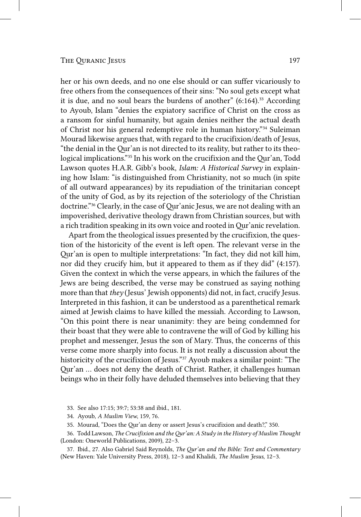her or his own deeds, and no one else should or can suffer vicariously to free others from the consequences of their sins: "No soul gets except what it is due, and no soul bears the burdens of another"  $(6:164)$ .<sup>33</sup> According to Ayoub, Islam "denies the expiatory sacrifice of Christ on the cross as a ransom for sinful humanity, but again denies neither the actual death of Christ nor his general redemptive role in human history."34 Suleiman Mourad likewise argues that, with regard to the crucifixion/death of Jesus, "the denial in the Qur'an is not directed to its reality, but rather to its theological implications."35 In his work on the crucifixion and the Qur'an, Todd Lawson quotes H.A.R. Gibb's book, *Islam: A Historical Survey* in explaining how Islam: "is distinguished from Christianity, not so much (in spite of all outward appearances) by its repudiation of the trinitarian concept of the unity of God, as by its rejection of the soteriology of the Christian doctrine."36 Clearly, in the case of Qur'anic Jesus, we are not dealing with an impoverished, derivative theology drawn from Christian sources, but with a rich tradition speaking in its own voice and rooted in Qur'anic revelation.

Apart from the theological issues presented by the crucifixion, the question of the historicity of the event is left open. The relevant verse in the Qur'an is open to multiple interpretations: "In fact, they did not kill him, nor did they crucify him, but it appeared to them as if they did" (4:157). Given the context in which the verse appears, in which the failures of the Jews are being described, the verse may be construed as saying nothing more than that *they* (Jesus' Jewish opponents) did not, in fact, crucify Jesus. Interpreted in this fashion, it can be understood as a parenthetical remark aimed at Jewish claims to have killed the messiah. According to Lawson, "On this point there is near unanimity: they are being condemned for their boast that they were able to contravene the will of God by killing his prophet and messenger, Jesus the son of Mary. Thus, the concerns of this verse come more sharply into focus. It is not really a discussion about the historicity of the crucifixion of Jesus."37 Ayoub makes a similar point: "The Qur'an … does not deny the death of Christ. Rather, it challenges human beings who in their folly have deluded themselves into believing that they

33. See also 17:15; 39:7; 53:38 and ibid., 181.

- 34. Ayoub, *A Muslim View*, 159, 76.
- 35. Mourad, "Does the Qur'an deny or assert Jesus's crucifixion and death?," 350.

36. Todd Lawson, *The Crucifixion and the Qur'an: A Study in the History of Muslim Thought* (London: Oneworld Publications, 2009), 22–3.

37. Ibid., 27. Also Gabriel Said Reynolds, *The Qur'an and the Bible: Text and Commentary* (New Haven: Yale University Press, 2018), 12–3 and Khalidi, *The Muslim Jesus*, 12–3.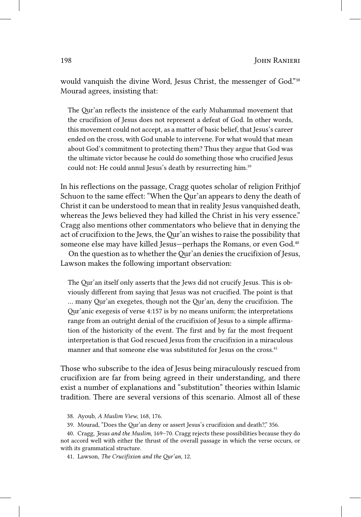would vanquish the divine Word, Jesus Christ, the messenger of God."38 Mourad agrees, insisting that:

The Qur'an reflects the insistence of the early Muhammad movement that the crucifixion of Jesus does not represent a defeat of God. In other words, this movement could not accept, as a matter of basic belief, that Jesus's career ended on the cross, with God unable to intervene. For what would that mean about God's commitment to protecting them? Thus they argue that God was the ultimate victor because he could do something those who crucified Jesus could not: He could annul Jesus's death by resurrecting him.<sup>39</sup>

In his reflections on the passage, Cragg quotes scholar of religion Frithjof Schuon to the same effect: "When the Qur'an appears to deny the death of Christ it can be understood to mean that in reality Jesus vanquished death, whereas the Jews believed they had killed the Christ in his very essence." Cragg also mentions other commentators who believe that in denying the act of crucifixion to the Jews, the Qur'an wishes to raise the possibility that someone else may have killed Jesus-perhaps the Romans, or even God.<sup>40</sup>

On the question as to whether the Qur'an denies the crucifixion of Jesus, Lawson makes the following important observation:

The Qur'an itself only asserts that the Jews did not crucify Jesus. This is obviously different from saying that Jesus was not crucified. The point is that … many Qur'an exegetes, though not the Qur'an, deny the crucifixion. The Qur'anic exegesis of verse 4:157 is by no means uniform; the interpretations range from an outright denial of the crucifixion of Jesus to a simple affirmation of the historicity of the event. The first and by far the most frequent interpretation is that God rescued Jesus from the crucifixion in a miraculous manner and that someone else was substituted for Jesus on the cross.<sup>41</sup>

Those who subscribe to the idea of Jesus being miraculously rescued from crucifixion are far from being agreed in their understanding, and there exist a number of explanations and "substitution" theories within Islamic tradition. There are several versions of this scenario. Almost all of these

39. Mourad, "Does the Qur'an deny or assert Jesus's crucifixion and death?," 356.

40. Cragg, *Jesus and the Muslim*, 169–70. Cragg rejects these possibilities because they do not accord well with either the thrust of the overall passage in which the verse occurs, or with its grammatical structure.

41. Lawson, *The Crucifixion and the Qur'an*, 12.

<sup>38.</sup> Ayoub, *A Muslim View*, 168, 176.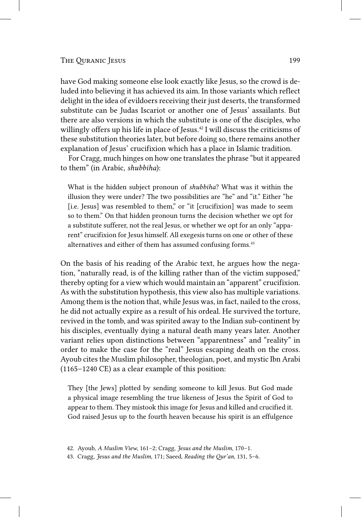#### The Ouranic Jesus 199

have God making someone else look exactly like Jesus, so the crowd is deluded into believing it has achieved its aim. In those variants which reflect delight in the idea of evildoers receiving their just deserts, the transformed substitute can be Judas Iscariot or another one of Jesus' assailants. But there are also versions in which the substitute is one of the disciples, who willingly offers up his life in place of Jesus.<sup>42</sup> I will discuss the criticisms of these substitution theories later, but before doing so, there remains another explanation of Jesus' crucifixion which has a place in Islamic tradition.

For Cragg, much hinges on how one translates the phrase "but it appeared to them" (in Arabic, *shubbiha*):

What is the hidden subject pronoun of *shubbiha*? What was it within the illusion they were under? The two possibilities are "he" and "it." Either "he [i.e. Jesus] was resembled to them," or "it [crucifixion] was made to seem so to them." On that hidden pronoun turns the decision whether we opt for a substitute sufferer, not the real Jesus, or whether we opt for an only "apparent" crucifixion for Jesus himself. All exegesis turns on one or other of these alternatives and either of them has assumed confusing forms.<sup>43</sup>

On the basis of his reading of the Arabic text, he argues how the negation, "naturally read, is of the killing rather than of the victim supposed," thereby opting for a view which would maintain an "apparent" crucifixion. As with the substitution hypothesis, this view also has multiple variations. Among them is the notion that, while Jesus was, in fact, nailed to the cross, he did not actually expire as a result of his ordeal. He survived the torture, revived in the tomb, and was spirited away to the Indian sub-continent by his disciples, eventually dying a natural death many years later. Another variant relies upon distinctions between "apparentness" and "reality" in order to make the case for the "real" Jesus escaping death on the cross. Ayoub cites the Muslim philosopher, theologian, poet, and mystic Ibn Arabi (1165–1240 CE) as a clear example of this position:

They [the Jews] plotted by sending someone to kill Jesus. But God made a physical image resembling the true likeness of Jesus the Spirit of God to appear to them. They mistook this image for Jesus and killed and crucified it. God raised Jesus up to the fourth heaven because his spirit is an effulgence

<sup>42.</sup> Ayoub, *A Muslim View*, 161–2; Cragg, *Jesus and the Muslim*, 170–1.

<sup>43.</sup> Cragg, *Jesus and the Muslim*, 171; Saeed, *Reading the Qur'an*, 131, 5–6.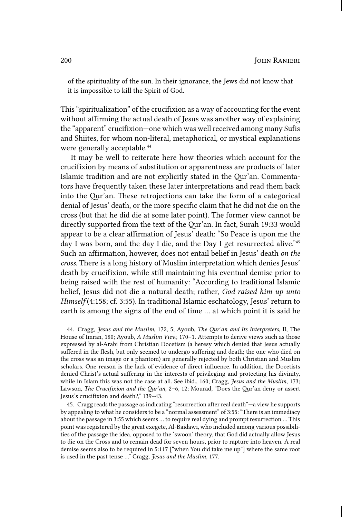of the spirituality of the sun. In their ignorance, the Jews did not know that it is impossible to kill the Spirit of God.

This "spiritualization" of the crucifixion as a way of accounting for the event without affirming the actual death of Jesus was another way of explaining the "apparent" crucifixion—one which was well received among many Sufis and Shiites, for whom non-literal, metaphorical, or mystical explanations were generally acceptable.<sup>44</sup>

It may be well to reiterate here how theories which account for the crucifixion by means of substitution or apparentness are products of later Islamic tradition and are not explicitly stated in the Qur'an. Commentators have frequently taken these later interpretations and read them back into the Qur'an. These retrojections can take the form of a categorical denial of Jesus' death, or the more specific claim that he did not die on the cross (but that he did die at some later point). The former view cannot be directly supported from the text of the Qur'an. In fact, Surah 19:33 would appear to be a clear affirmation of Jesus' death: "So Peace is upon me the day I was born, and the day I die, and the Day I get resurrected alive."45 Such an affirmation, however, does not entail belief in Jesus' death *on the cross*. There is a long history of Muslim interpretation which denies Jesus' death by crucifixion, while still maintaining his eventual demise prior to being raised with the rest of humanity: "According to traditional Islamic belief, Jesus did not die a natural death; rather, *God raised him up unto Himself* (4:158; cf. 3:55). In traditional Islamic eschatology, Jesus' return to earth is among the signs of the end of time … at which point it is said he

44. Cragg, *Jesus and the Muslim*, 172, 5; Ayoub, *The Qur'an and Its Interpreters*, II, The House of Imran, 180; Ayoub, *A Muslim View*, 170–1. Attempts to derive views such as those expressed by al-Arabi from Christian Docetism (a heresy which denied that Jesus actually suffered in the flesh, but only seemed to undergo suffering and death; the one who died on the cross was an image or a phantom) are generally rejected by both Christian and Muslim scholars. One reason is the lack of evidence of direct influence. In addition, the Docetists denied Christ's actual suffering in the interests of privileging and protecting his divinity, while in Islam this was not the case at all. See ibid., 160; Cragg, *Jesus and the Muslim*, 173; Lawson, *The Crucifixion and the Qur'an*, 2–6, 12; Mourad, "Does the Qur'an deny or assert Jesus's crucifixion and death?," 139–43.

45. Cragg reads the passage as indicating "resurrection after real death"—a view he supports by appealing to what he considers to be a "normal assessment" of 3:55: "There is an immediacy about the passage in 3:55 which seems … to require real dying and prompt resurrection … This point was registered by the great exegete, Al-Baidawi, who included among various possibilities of the passage the idea, opposed to the 'swoon' theory, that God did actually allow Jesus to die on the Cross and to remain dead for seven hours, prior to rapture into heaven. A real demise seems also to be required in 5:117 ["when You did take me up"] where the same root is used in the past tense …" Cragg, *Jesus and the Muslim*, 177.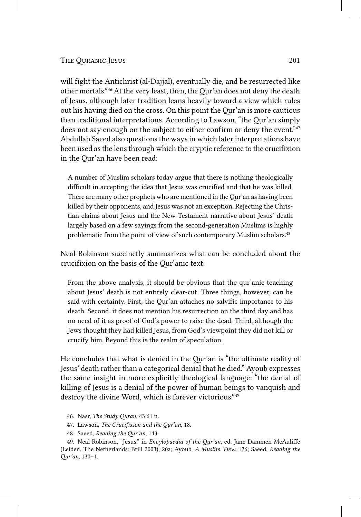will fight the Antichrist (al-Dajjal), eventually die, and be resurrected like other mortals."46 At the very least, then, the Qur'an does not deny the death of Jesus, although later tradition leans heavily toward a view which rules out his having died on the cross. On this point the Qur'an is more cautious than traditional interpretations. According to Lawson, "the Qur'an simply does not say enough on the subject to either confirm or deny the event."<sup>47</sup> Abdullah Saeed also questions the ways in which later interpretations have been used as the lens through which the cryptic reference to the crucifixion in the Qur'an have been read:

A number of Muslim scholars today argue that there is nothing theologically difficult in accepting the idea that Jesus was crucified and that he was killed. There are many other prophets who are mentioned in the Qur'an as having been killed by their opponents, and Jesus was not an exception. Rejecting the Christian claims about Jesus and the New Testament narrative about Jesus' death largely based on a few sayings from the second-generation Muslims is highly problematic from the point of view of such contemporary Muslim scholars.<sup>48</sup>

Neal Robinson succinctly summarizes what can be concluded about the crucifixion on the basis of the Qur'anic text:

From the above analysis, it should be obvious that the qur'anic teaching about Jesus' death is not entirely clear-cut. Three things, however, can be said with certainty. First, the Qur'an attaches no salvific importance to his death. Second, it does not mention his resurrection on the third day and has no need of it as proof of God's power to raise the dead. Third, although the Jews thought they had killed Jesus, from God's viewpoint they did not kill or crucify him. Beyond this is the realm of speculation.

He concludes that what is denied in the Qur'an is "the ultimate reality of Jesus' death rather than a categorical denial that he died." Ayoub expresses the same insight in more explicitly theological language: "the denial of killing of Jesus is a denial of the power of human beings to vanquish and destroy the divine Word, which is forever victorious."49

46. Nasr, *The Study Quran*, 43:61 n.

47. Lawson, *The Crucifixion and the Qur'an*, 18.

48. Saeed, *Reading the Qur'an*, 143.

49. Neal Robinson, "Jesus," in *Encylopaedia of the Qur'an*, ed. Jane Dammen McAuliffe (Leiden, The Netherlands: Brill 2003), 20a; Ayoub, *A Muslim View*, 176; Saeed, *Reading the Qur'an*, 130–1.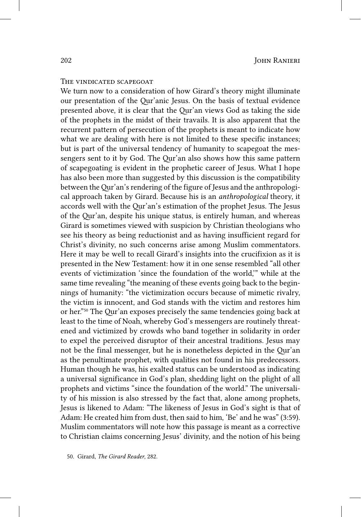### THE VINDICATED SCAPEGOAT

We turn now to a consideration of how Girard's theory might illuminate our presentation of the Qur'anic Jesus. On the basis of textual evidence presented above, it is clear that the Qur'an views God as taking the side of the prophets in the midst of their travails. It is also apparent that the recurrent pattern of persecution of the prophets is meant to indicate how what we are dealing with here is not limited to these specific instances; but is part of the universal tendency of humanity to scapegoat the messengers sent to it by God. The Qur'an also shows how this same pattern of scapegoating is evident in the prophetic career of Jesus. What I hope has also been more than suggested by this discussion is the compatibility between the Qur'an's rendering of the figure of Jesus and the anthropological approach taken by Girard. Because his is an *anthropological* theory, it accords well with the Qur'an's estimation of the prophet Jesus. The Jesus of the Qur'an, despite his unique status, is entirely human, and whereas Girard is sometimes viewed with suspicion by Christian theologians who see his theory as being reductionist and as having insufficient regard for Christ's divinity, no such concerns arise among Muslim commentators. Here it may be well to recall Girard's insights into the crucifixion as it is presented in the New Testament: how it in one sense resembled "all other events of victimization 'since the foundation of the world,'" while at the same time revealing "the meaning of these events going back to the beginnings of humanity: "the victimization occurs because of mimetic rivalry, the victim is innocent, and God stands with the victim and restores him or her."50 The Qur'an exposes precisely the same tendencies going back at least to the time of Noah, whereby God's messengers are routinely threatened and victimized by crowds who band together in solidarity in order to expel the perceived disruptor of their ancestral traditions. Jesus may not be the final messenger, but he is nonetheless depicted in the Qur'an as the penultimate prophet, with qualities not found in his predecessors. Human though he was, his exalted status can be understood as indicating a universal significance in God's plan, shedding light on the plight of all prophets and victims "since the foundation of the world." The universality of his mission is also stressed by the fact that, alone among prophets, Jesus is likened to Adam: "The likeness of Jesus in God's sight is that of Adam: He created him from dust, then said to him, 'Be' and he was" (3:59). Muslim commentators will note how this passage is meant as a corrective to Christian claims concerning Jesus' divinity, and the notion of his being

50. Girard, *The Girard Reader*, 282.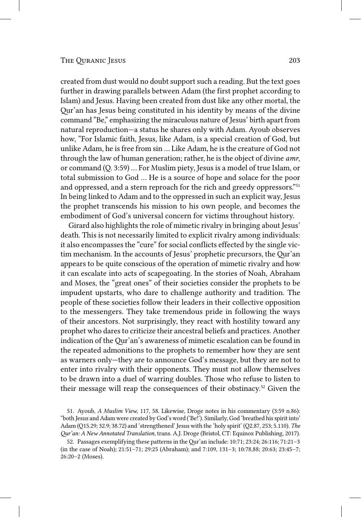created from dust would no doubt support such a reading. But the text goes further in drawing parallels between Adam (the first prophet according to Islam) and Jesus. Having been created from dust like any other mortal, the Qur'an has Jesus being constituted in his identity by means of the divine command "Be," emphasizing the miraculous nature of Jesus' birth apart from natural reproduction—a status he shares only with Adam. Ayoub observes how, "For Islamic faith, Jesus, like Adam, is a special creation of God, but unlike Adam, he is free from sin … Like Adam, he is the creature of God not through the law of human generation; rather, he is the object of divine *amr*, or command (Q. 3:59) … For Muslim piety, Jesus is a model of true Islam, or total submission to God … He is a source of hope and solace for the poor and oppressed, and a stern reproach for the rich and greedy oppressors."<sup>51</sup> In being linked to Adam and to the oppressed in such an explicit way, Jesus the prophet transcends his mission to his own people, and becomes the embodiment of God's universal concern for victims throughout history.

Girard also highlights the role of mimetic rivalry in bringing about Jesus' death. This is not necessarily limited to explicit rivalry among individuals: it also encompasses the "cure" for social conflicts effected by the single victim mechanism. In the accounts of Jesus' prophetic precursors, the Qur'an appears to be quite conscious of the operation of mimetic rivalry and how it can escalate into acts of scapegoating. In the stories of Noah, Abraham and Moses, the "great ones" of their societies consider the prophets to be impudent upstarts, who dare to challenge authority and tradition. The people of these societies follow their leaders in their collective opposition to the messengers. They take tremendous pride in following the ways of their ancestors. Not surprisingly, they react with hostility toward any prophet who dares to criticize their ancestral beliefs and practices. Another indication of the Qur'an's awareness of mimetic escalation can be found in the repeated admonitions to the prophets to remember how they are sent as warners only—they are to announce God's message, but they are not to enter into rivalry with their opponents. They must not allow themselves to be drawn into a duel of warring doubles. Those who refuse to listen to their message will reap the consequences of their obstinacy.52 Given the

51. Ayoub, *A Muslim View*, 117, 58. Likewise, Droge notes in his commentary (3:59 n.86): "both Jesus and Adam were created by God's word ('Be!'). Similarly, God 'breathed his spirit into' Adam (Q15.29; 32.9; 38.72) and 'strengthened' Jesus with the 'holy spirit' (Q2.87, 253; 5.110). *The Qur'an: A New Annotated Translation*, trans. A.J. Droge (Bristol, CT: Equinox Publishing, 2017).

<sup>52.</sup> Passages exemplifying these patterns in the Qur'an include: 10:71; 23:24; 26:116; 71:21–3 (in the case of Noah); 21:51–71; 29:25 (Abraham); and 7:109, 131–3; 10:78,88; 20:63; 23:45–7; 26:20–2 (Moses).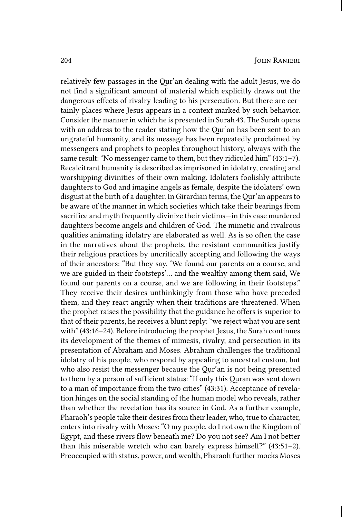relatively few passages in the Qur'an dealing with the adult Jesus, we do not find a significant amount of material which explicitly draws out the dangerous effects of rivalry leading to his persecution. But there are certainly places where Jesus appears in a context marked by such behavior. Consider the manner in which he is presented in Surah 43. The Surah opens with an address to the reader stating how the Qur'an has been sent to an ungrateful humanity, and its message has been repeatedly proclaimed by messengers and prophets to peoples throughout history, always with the same result: "No messenger came to them, but they ridiculed him" (43:1–7). Recalcitrant humanity is described as imprisoned in idolatry, creating and worshipping divinities of their own making. Idolaters foolishly attribute daughters to God and imagine angels as female, despite the idolaters' own disgust at the birth of a daughter. In Girardian terms, the Qur'an appears to be aware of the manner in which societies which take their bearings from sacrifice and myth frequently divinize their victims—in this case murdered daughters become angels and children of God. The mimetic and rivalrous qualities animating idolatry are elaborated as well. As is so often the case in the narratives about the prophets, the resistant communities justify their religious practices by uncritically accepting and following the ways of their ancestors: "But they say, 'We found our parents on a course, and we are guided in their footsteps'… and the wealthy among them said, We found our parents on a course, and we are following in their footsteps." They receive their desires unthinkingly from those who have preceded them, and they react angrily when their traditions are threatened. When the prophet raises the possibility that the guidance he offers is superior to that of their parents, he receives a blunt reply: "we reject what you are sent with" (43:16–24). Before introducing the prophet Jesus, the Surah continues its development of the themes of mimesis, rivalry, and persecution in its presentation of Abraham and Moses. Abraham challenges the traditional idolatry of his people, who respond by appealing to ancestral custom, but who also resist the messenger because the Qur'an is not being presented to them by a person of sufficient status: "If only this Quran was sent down to a man of importance from the two cities" (43:31). Acceptance of revelation hinges on the social standing of the human model who reveals, rather than whether the revelation has its source in God. As a further example, Pharaoh's people take their desires from their leader, who, true to character, enters into rivalry with Moses: "O my people, do I not own the Kingdom of Egypt, and these rivers flow beneath me? Do you not see? Am I not better than this miserable wretch who can barely express himself?" (43:51–2). Preoccupied with status, power, and wealth, Pharaoh further mocks Moses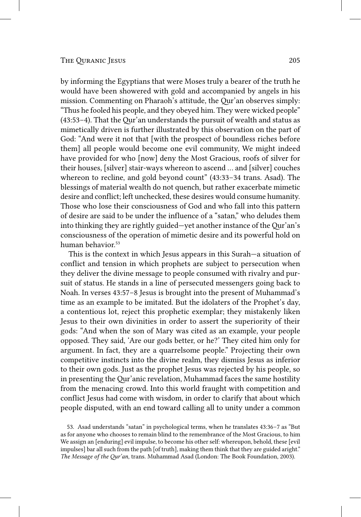by informing the Egyptians that were Moses truly a bearer of the truth he would have been showered with gold and accompanied by angels in his mission. Commenting on Pharaoh's attitude, the Qur'an observes simply: "Thus he fooled his people, and they obeyed him. They were wicked people" (43:53–4). That the Qur'an understands the pursuit of wealth and status as mimetically driven is further illustrated by this observation on the part of God: "And were it not that [with the prospect of boundless riches before them] all people would become one evil community, We might indeed have provided for who [now] deny the Most Gracious, roofs of silver for their houses, [silver] stair-ways whereon to ascend … and [silver] couches whereon to recline, and gold beyond count" (43:33–34 trans. Asad). The blessings of material wealth do not quench, but rather exacerbate mimetic desire and conflict; left unchecked, these desires would consume humanity. Those who lose their consciousness of God and who fall into this pattern of desire are said to be under the influence of a "satan," who deludes them into thinking they are rightly guided—yet another instance of the Qur'an's consciousness of the operation of mimetic desire and its powerful hold on human behavior.<sup>53</sup>

This is the context in which Jesus appears in this Surah—a situation of conflict and tension in which prophets are subject to persecution when they deliver the divine message to people consumed with rivalry and pursuit of status. He stands in a line of persecuted messengers going back to Noah. In verses 43:57–8 Jesus is brought into the present of Muhammad's time as an example to be imitated. But the idolaters of the Prophet's day, a contentious lot, reject this prophetic exemplar; they mistakenly liken Jesus to their own divinities in order to assert the superiority of their gods: "And when the son of Mary was cited as an example, your people opposed. They said, 'Are our gods better, or he?' They cited him only for argument. In fact, they are a quarrelsome people." Projecting their own competitive instincts into the divine realm, they dismiss Jesus as inferior to their own gods. Just as the prophet Jesus was rejected by his people, so in presenting the Qur'anic revelation, Muhammad faces the same hostility from the menacing crowd. Into this world fraught with competition and conflict Jesus had come with wisdom, in order to clarify that about which people disputed, with an end toward calling all to unity under a common

<sup>53.</sup> Asad understands "satan" in psychological terms, when he translates 43:36–7 as "But as for anyone who chooses to remain blind to the remembrance of the Most Gracious, to him We assign an [enduring] evil impulse, to become his other self: whereupon, behold, these [evil impulses] bar all such from the path [of truth], making them think that they are guided aright." *The Message of the Qur'an*, trans. Muhammad Asad (London: The Book Foundation, 2003).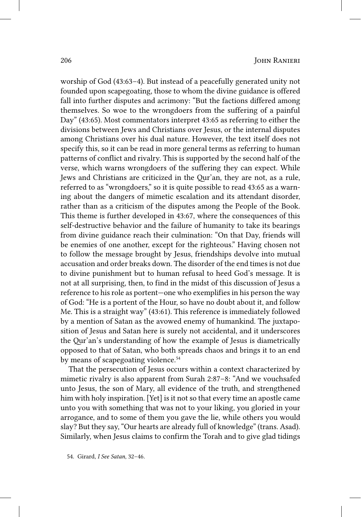worship of God (43:63–4). But instead of a peacefully generated unity not founded upon scapegoating, those to whom the divine guidance is offered fall into further disputes and acrimony: "But the factions differed among themselves. So woe to the wrongdoers from the suffering of a painful Day" (43:65). Most commentators interpret 43:65 as referring to either the divisions between Jews and Christians over Jesus, or the internal disputes among Christians over his dual nature. However, the text itself does not specify this, so it can be read in more general terms as referring to human patterns of conflict and rivalry. This is supported by the second half of the verse, which warns wrongdoers of the suffering they can expect. While Jews and Christians are criticized in the Qur'an, they are not, as a rule, referred to as "wrongdoers," so it is quite possible to read 43:65 as a warning about the dangers of mimetic escalation and its attendant disorder, rather than as a criticism of the disputes among the People of the Book. This theme is further developed in 43:67, where the consequences of this self-destructive behavior and the failure of humanity to take its bearings from divine guidance reach their culmination: "On that Day, friends will be enemies of one another, except for the righteous." Having chosen not to follow the message brought by Jesus, friendships devolve into mutual accusation and order breaks down. The disorder of the end times is not due to divine punishment but to human refusal to heed God's message. It is not at all surprising, then, to find in the midst of this discussion of Jesus a reference to his role as portent—one who exemplifies in his person the way of God: "He is a portent of the Hour, so have no doubt about it, and follow Me. This is a straight way" (43:61). This reference is immediately followed by a mention of Satan as the avowed enemy of humankind. The juxtaposition of Jesus and Satan here is surely not accidental, and it underscores the Qur'an's understanding of how the example of Jesus is diametrically opposed to that of Satan, who both spreads chaos and brings it to an end by means of scapegoating violence.<sup>54</sup>

That the persecution of Jesus occurs within a context characterized by mimetic rivalry is also apparent from Surah 2:87–8: "And we vouchsafed unto Jesus, the son of Mary, all evidence of the truth, and strengthened him with holy inspiration. [Yet] is it not so that every time an apostle came unto you with something that was not to your liking, you gloried in your arrogance, and to some of them you gave the lie, while others you would slay? But they say, "Our hearts are already full of knowledge" (trans. Asad). Similarly, when Jesus claims to confirm the Torah and to give glad tidings

<sup>54.</sup> Girard, *I See Satan*, 32–46.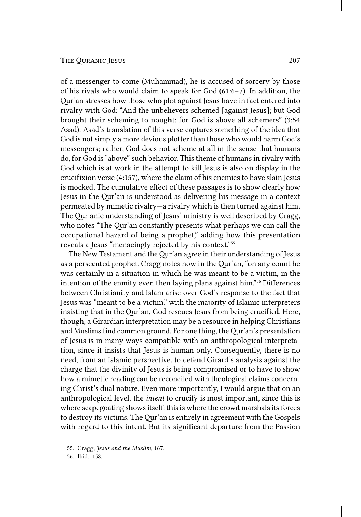of a messenger to come (Muhammad), he is accused of sorcery by those of his rivals who would claim to speak for God (61:6–7). In addition, the Qur'an stresses how those who plot against Jesus have in fact entered into rivalry with God: "And the unbelievers schemed [against Jesus]; but God brought their scheming to nought: for God is above all schemers" (3:54 Asad). Asad's translation of this verse captures something of the idea that God is not simply a more devious plotter than those who would harm God's messengers; rather, God does not scheme at all in the sense that humans do, for God is "above" such behavior. This theme of humans in rivalry with God which is at work in the attempt to kill Jesus is also on display in the crucifixion verse (4:157), where the claim of his enemies to have slain Jesus is mocked. The cumulative effect of these passages is to show clearly how Jesus in the Qur'an is understood as delivering his message in a context permeated by mimetic rivalry—a rivalry which is then turned against him. The Qur'anic understanding of Jesus' ministry is well described by Cragg, who notes "The Qur'an constantly presents what perhaps we can call the occupational hazard of being a prophet," adding how this presentation reveals a Jesus "menacingly rejected by his context."55

The New Testament and the Qur'an agree in their understanding of Jesus as a persecuted prophet. Cragg notes how in the Qur'an, "on any count he was certainly in a situation in which he was meant to be a victim, in the intention of the enmity even then laying plans against him."56 Differences between Christianity and Islam arise over God's response to the fact that Jesus was "meant to be a victim," with the majority of Islamic interpreters insisting that in the Qur'an, God rescues Jesus from being crucified. Here, though, a Girardian interpretation may be a resource in helping Christians and Muslims find common ground. For one thing, the Qur'an's presentation of Jesus is in many ways compatible with an anthropological interpretation, since it insists that Jesus is human only. Consequently, there is no need, from an Islamic perspective, to defend Girard's analysis against the charge that the divinity of Jesus is being compromised or to have to show how a mimetic reading can be reconciled with theological claims concerning Christ's dual nature. Even more importantly, I would argue that on an anthropological level, the *intent* to crucify is most important, since this is where scapegoating shows itself: this is where the crowd marshals its forces to destroy its victims. The Qur'an is entirely in agreement with the Gospels with regard to this intent. But its significant departure from the Passion

56. Ibid., 158.

<sup>55.</sup> Cragg, *Jesus and the Muslim*, 167.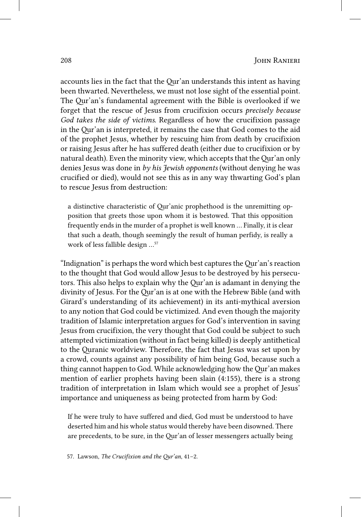accounts lies in the fact that the Qur'an understands this intent as having been thwarted. Nevertheless, we must not lose sight of the essential point. The Qur'an's fundamental agreement with the Bible is overlooked if we forget that the rescue of Jesus from crucifixion occurs *precisely because God takes the side of victims*. Regardless of how the crucifixion passage in the Qur'an is interpreted, it remains the case that God comes to the aid of the prophet Jesus, whether by rescuing him from death by crucifixion or raising Jesus after he has suffered death (either due to crucifixion or by natural death). Even the minority view, which accepts that the Qur'an only denies Jesus was done in *by his Jewish opponents* (without denying he was crucified or died), would not see this as in any way thwarting God's plan to rescue Jesus from destruction:

a distinctive characteristic of Qur'anic prophethood is the unremitting opposition that greets those upon whom it is bestowed. That this opposition frequently ends in the murder of a prophet is well known … Finally, it is clear that such a death, though seemingly the result of human perfidy, is really a work of less fallible design …57

"Indignation" is perhaps the word which best captures the Qur'an's reaction to the thought that God would allow Jesus to be destroyed by his persecutors. This also helps to explain why the Qur'an is adamant in denying the divinity of Jesus. For the Qur'an is at one with the Hebrew Bible (and with Girard's understanding of its achievement) in its anti-mythical aversion to any notion that God could be victimized. And even though the majority tradition of Islamic interpretation argues for God's intervention in saving Jesus from crucifixion, the very thought that God could be subject to such attempted victimization (without in fact being killed) is deeply antithetical to the Quranic worldview. Therefore, the fact that Jesus was set upon by a crowd, counts against any possibility of him being God, because such a thing cannot happen to God. While acknowledging how the Qur'an makes mention of earlier prophets having been slain (4:155), there is a strong tradition of interpretation in Islam which would see a prophet of Jesus' importance and uniqueness as being protected from harm by God:

If he were truly to have suffered and died, God must be understood to have deserted him and his whole status would thereby have been disowned. There are precedents, to be sure, in the Qur'an of lesser messengers actually being

57. Lawson, *The Crucifixion and the Qur'an*, 41–2.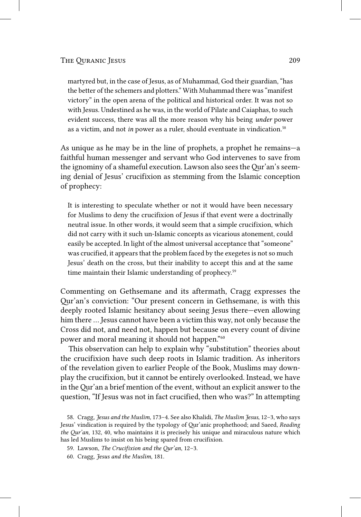martyred but, in the case of Jesus, as of Muhammad, God their guardian, "has the better of the schemers and plotters." With Muhammad there was "manifest victory" in the open arena of the political and historical order. It was not so with Jesus. Undestined as he was, in the world of Pilate and Caiaphas, to such evident success, there was all the more reason why his being *under* power as a victim, and not *in* power as a ruler, should eventuate in vindication.58

As unique as he may be in the line of prophets, a prophet he remains—a faithful human messenger and servant who God intervenes to save from the ignominy of a shameful execution. Lawson also sees the Qur'an's seeming denial of Jesus' crucifixion as stemming from the Islamic conception of prophecy:

It is interesting to speculate whether or not it would have been necessary for Muslims to deny the crucifixion of Jesus if that event were a doctrinally neutral issue. In other words, it would seem that a simple crucifixion, which did not carry with it such un-Islamic concepts as vicarious atonement, could easily be accepted. In light of the almost universal acceptance that "someone" was crucified, it appears that the problem faced by the exegetes is not so much Jesus' death on the cross, but their inability to accept this and at the same time maintain their Islamic understanding of prophecy.<sup>59</sup>

Commenting on Gethsemane and its aftermath, Cragg expresses the Qur'an's conviction: "Our present concern in Gethsemane, is with this deeply rooted Islamic hesitancy about seeing Jesus there—even allowing him there … Jesus cannot have been a victim this way, not only because the Cross did not, and need not, happen but because on every count of divine power and moral meaning it should not happen."60

This observation can help to explain why "substitution" theories about the crucifixion have such deep roots in Islamic tradition. As inheritors of the revelation given to earlier People of the Book, Muslims may downplay the crucifixion, but it cannot be entirely overlooked. Instead, we have in the Qur'an a brief mention of the event, without an explicit answer to the question, "If Jesus was not in fact crucified, then who was?" In attempting

- 59. Lawson, *The Crucifixion and the Qur'an*, 12–3.
- 60. Cragg, *Jesus and the Muslim*, 181.

<sup>58.</sup> Cragg, *Jesus and the Muslim*, 173–4. See also Khalidi, *The Muslim Jesus*, 12–3, who says Jesus' vindication is required by the typology of Qur'anic prophethood; and Saeed, *Reading the Qur'an*, 132, 40, who maintains it is precisely his unique and miraculous nature which has led Muslims to insist on his being spared from crucifixion.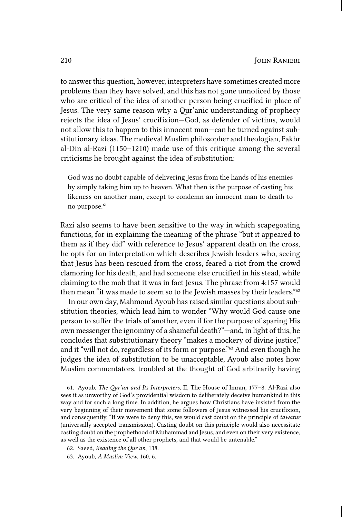to answer this question, however, interpreters have sometimes created more problems than they have solved, and this has not gone unnoticed by those who are critical of the idea of another person being crucified in place of Jesus. The very same reason why a Qur'anic understanding of prophecy rejects the idea of Jesus' crucifixion—God, as defender of victims, would not allow this to happen to this innocent man—can be turned against substitutionary ideas. The medieval Muslim philosopher and theologian, Fakhr al-Din al-Razi (1150–1210) made use of this critique among the several criticisms he brought against the idea of substitution:

God was no doubt capable of delivering Jesus from the hands of his enemies by simply taking him up to heaven. What then is the purpose of casting his likeness on another man, except to condemn an innocent man to death to no purpose.<sup>61</sup>

Razi also seems to have been sensitive to the way in which scapegoating functions, for in explaining the meaning of the phrase "but it appeared to them as if they did" with reference to Jesus' apparent death on the cross, he opts for an interpretation which describes Jewish leaders who, seeing that Jesus has been rescued from the cross, feared a riot from the crowd clamoring for his death, and had someone else crucified in his stead, while claiming to the mob that it was in fact Jesus. The phrase from 4:157 would then mean "it was made to seem so to the Jewish masses by their leaders."62

In our own day, Mahmoud Ayoub has raised similar questions about substitution theories, which lead him to wonder "Why would God cause one person to suffer the trials of another, even if for the purpose of sparing His own messenger the ignominy of a shameful death?"—and, in light of this, he concludes that substitutionary theory "makes a mockery of divine justice," and it "will not do, regardless of its form or purpose."63 And even though he judges the idea of substitution to be unacceptable, Ayoub also notes how Muslim commentators, troubled at the thought of God arbitrarily having

61. Ayoub, *The Qur'an and Its Interpreters*, II, The House of Imran, 177–8. Al-Razi also sees it as unworthy of God's providential wisdom to deliberately deceive humankind in this way and for such a long time. In addition, he argues how Christians have insisted from the very beginning of their movement that some followers of Jesus witnessed his crucifixion, and consequently, "If we were to deny this, we would cast doubt on the principle of *tawatur* (universally accepted transmission). Casting doubt on this principle would also necessitate casting doubt on the prophethood of Muhammad and Jesus, and even on their very existence, as well as the existence of all other prophets, and that would be untenable."

<sup>62.</sup> Saeed, *Reading the Qur'an*, 138.

<sup>63.</sup> Ayoub, *A Muslim View*, 160, 6.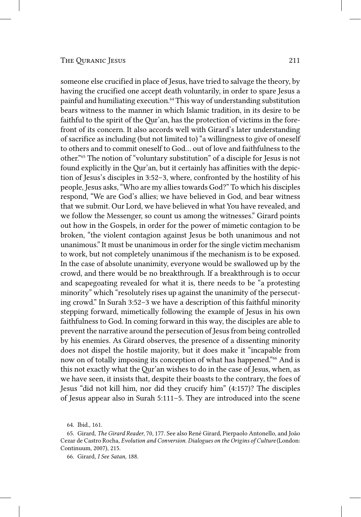someone else crucified in place of Jesus, have tried to salvage the theory, by having the crucified one accept death voluntarily, in order to spare Jesus a painful and humiliating execution.64 This way of understanding substitution bears witness to the manner in which Islamic tradition, in its desire to be faithful to the spirit of the Qur'an, has the protection of victims in the forefront of its concern. It also accords well with Girard's later understanding of sacrifice as including (but not limited to) "a willingness to give of oneself to others and to commit oneself to God… out of love and faithfulness to the other."65 The notion of "voluntary substitution" of a disciple for Jesus is not found explicitly in the Qur'an, but it certainly has affinities with the depiction of Jesus's disciples in 3:52–3, where, confronted by the hostility of his people, Jesus asks, "Who are my allies towards God?" To which his disciples respond, "We are God's allies; we have believed in God, and bear witness that we submit. Our Lord, we have believed in what You have revealed, and we follow the Messenger, so count us among the witnesses." Girard points out how in the Gospels, in order for the power of mimetic contagion to be broken, "the violent contagion against Jesus be both unanimous and not unanimous." It must be unanimous in order for the single victim mechanism to work, but not completely unanimous if the mechanism is to be exposed. In the case of absolute unanimity, everyone would be swallowed up by the crowd, and there would be no breakthrough. If a breakthrough is to occur and scapegoating revealed for what it is, there needs to be "a protesting minority" which "resolutely rises up against the unanimity of the persecuting crowd." In Surah 3:52–3 we have a description of this faithful minority stepping forward, mimetically following the example of Jesus in his own faithfulness to God. In coming forward in this way, the disciples are able to prevent the narrative around the persecution of Jesus from being controlled by his enemies. As Girard observes, the presence of a dissenting minority does not dispel the hostile majority, but it does make it "incapable from now on of totally imposing its conception of what has happened."<sup>66</sup> And is this not exactly what the Qur'an wishes to do in the case of Jesus, when, as we have seen, it insists that, despite their boasts to the contrary, the foes of Jesus "did not kill him, nor did they crucify him" (4:157)? The disciples of Jesus appear also in Surah 5:111–5. They are introduced into the scene

<sup>64.</sup> Ibid., 161.

<sup>65.</sup> Girard, *The Girard Reader*, 70, 177. See also René Girard, Pierpaolo Antonello, and João Cezar de Castro Rocha, *Evolution and Conversion. Dialogues on the Origins of Culture* (London: Continuum, 2007), 215.

<sup>66.</sup> Girard, *I See Satan*, 188.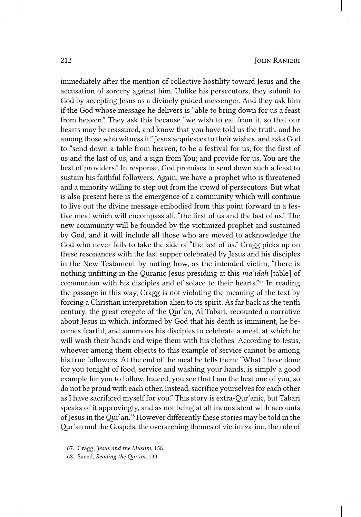immediately after the mention of collective hostility toward Jesus and the accusation of sorcery against him. Unlike his persecutors, they submit to God by accepting Jesus as a divinely guided messenger. And they ask him if the God whose message he delivers is "able to bring down for us a feast from heaven." They ask this because "we wish to eat from it, so that our hearts may be reassured, and know that you have told us the truth, and be among those who witness it." Jesus acquiesces to their wishes, and asks God to "send down a table from heaven, to be a festival for us, for the first of us and the last of us, and a sign from You; and provide for us, You are the best of providers." In response, God promises to send down such a feast to sustain his faithful followers. Again, we have a prophet who is threatened and a minority willing to step out from the crowd of persecutors. But what is also present here is the emergence of a community which will continue to live out the divine message embodied from this point forward in a festive meal which will encompass all, "the first of us and the last of us." The new community will be founded by the victimized prophet and sustained by God, and it will include all those who are moved to acknowledge the God who never fails to take the side of "the last of us." Cragg picks up on these resonances with the last supper celebrated by Jesus and his disciples in the New Testament by noting how, as the intended victim, "there is nothing unfitting in the Quranic Jesus presiding at this *ma'idah* [table] of communion with his disciples and of solace to their hearts."67 In reading the passage in this way, Cragg is not violating the meaning of the text by forcing a Christian interpretation alien to its spirit. As far back as the tenth century, the great exegete of the Qur'an, Al-Tabari, recounted a narrative about Jesus in which, informed by God that his death is imminent, he becomes fearful, and summons his disciples to celebrate a meal, at which he will wash their hands and wipe them with his clothes. According to Jesus, whoever among them objects to this example of service cannot be among his true followers. At the end of the meal he tells them: "What I have done for you tonight of food, service and washing your hands, is simply a good example for you to follow. Indeed, you see that I am the best one of you, so do not be proud with each other. Instead, sacrifice yourselves for each other as I have sacrificed myself for you." This story is extra-Qur'anic, but Tabari speaks of it approvingly, and as not being at all inconsistent with accounts of Jesus in the Qur'an.68 However differently these stories may be told in the Qur'an and the Gospels, the overarching themes of victimization, the role of

- 67. Cragg, *Jesus and the Muslim*, 158.
- 68. Saeed, *Reading the Qur'an*, 133.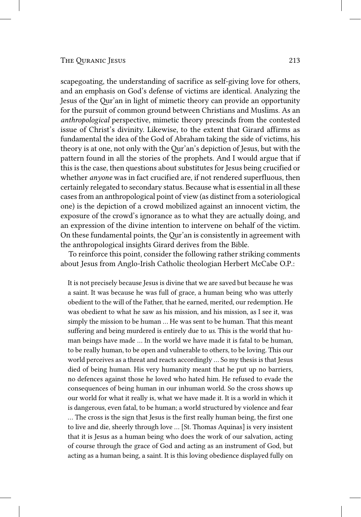scapegoating, the understanding of sacrifice as self-giving love for others, and an emphasis on God's defense of victims are identical. Analyzing the Jesus of the Qur'an in light of mimetic theory can provide an opportunity for the pursuit of common ground between Christians and Muslims. As an *anthropological* perspective, mimetic theory prescinds from the contested issue of Christ's divinity. Likewise, to the extent that Girard affirms as fundamental the idea of the God of Abraham taking the side of victims, his theory is at one, not only with the Qur'an's depiction of Jesus, but with the pattern found in all the stories of the prophets. And I would argue that if this is the case, then questions about substitutes for Jesus being crucified or whether *anyone* was in fact crucified are, if not rendered superfluous, then certainly relegated to secondary status. Because what is essential in all these cases from an anthropological point of view (as distinct from a soteriological one) is the depiction of a crowd mobilized against an innocent victim, the exposure of the crowd's ignorance as to what they are actually doing, and an expression of the divine intention to intervene on behalf of the victim. On these fundamental points, the Qur'an is consistently in agreement with the anthropological insights Girard derives from the Bible.

To reinforce this point, consider the following rather striking comments about Jesus from Anglo-Irish Catholic theologian Herbert McCabe O.P.:

It is not precisely because Jesus is divine that we are saved but because he was a saint. It was because he was full of grace, a human being who was utterly obedient to the will of the Father, that he earned, merited, our redemption. He was obedient to what he saw as his mission, and his mission, as I see it, was simply the mission to be human … He was sent to be human. That this meant suffering and being murdered is entirely due to *us*. This is the world that human beings have made … In the world we have made it is fatal to be human, to be really human, to be open and vulnerable to others, to be loving. This our world perceives as a threat and reacts accordingly … So my thesis is that Jesus died of being human. His very humanity meant that he put up no barriers, no defences against those he loved who hated him. He refused to evade the consequences of being human in our inhuman world. So the cross shows up our world for what it really is, what we have made it. It is a world in which it is dangerous, even fatal, to be human; a world structured by violence and fear … The cross is the sign that Jesus is the first really human being, the first one to live and die, sheerly through love … [St. Thomas Aquinas] is very insistent that it is Jesus as a human being who does the work of our salvation, acting of course through the grace of God and acting as an instrument of God, but acting as a human being, a saint. It is this loving obedience displayed fully on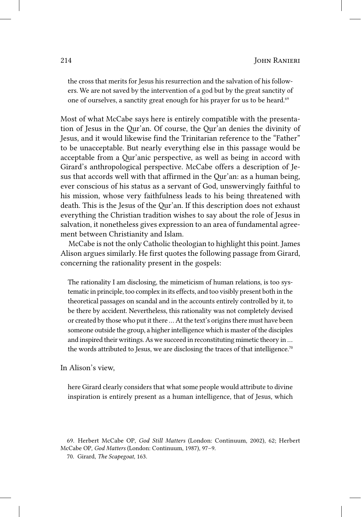the cross that merits for Jesus his resurrection and the salvation of his followers. We are not saved by the intervention of a god but by the great sanctity of one of ourselves, a sanctity great enough for his prayer for us to be heard.<sup>69</sup>

Most of what McCabe says here is entirely compatible with the presentation of Jesus in the Qur'an. Of course, the Qur'an denies the divinity of Jesus, and it would likewise find the Trinitarian reference to the "Father" to be unacceptable. But nearly everything else in this passage would be acceptable from a Qur'anic perspective, as well as being in accord with Girard's anthropological perspective. McCabe offers a description of Jesus that accords well with that affirmed in the Qur'an: as a human being, ever conscious of his status as a servant of God, unswervingly faithful to his mission, whose very faithfulness leads to his being threatened with death. This is the Jesus of the Qur'an. If this description does not exhaust everything the Christian tradition wishes to say about the role of Jesus in salvation, it nonetheless gives expression to an area of fundamental agreement between Christianity and Islam.

McCabe is not the only Catholic theologian to highlight this point. James Alison argues similarly. He first quotes the following passage from Girard, concerning the rationality present in the gospels:

The rationality I am disclosing, the mimeticism of human relations, is too systematic in principle, too complex in its effects, and too visibly present both in the theoretical passages on scandal and in the accounts entirely controlled by it, to be there by accident. Nevertheless, this rationality was not completely devised or created by those who put it there … At the text's origins there must have been someone outside the group, a higher intelligence which is master of the disciples and inspired their writings. As we succeed in reconstituting mimetic theory in … the words attributed to Jesus, we are disclosing the traces of that intelligence.<sup>70</sup>

In Alison's view,

here Girard clearly considers that what some people would attribute to divine inspiration is entirely present as a human intelligence, that of Jesus, which

<sup>69.</sup> Herbert McCabe OP, *God Still Matters* (London: Continuum, 2002), 62; Herbert McCabe OP, *God Matters* (London: Continuum, 1987), 97–9.

<sup>70.</sup> Girard, *The Scapegoat*, 163.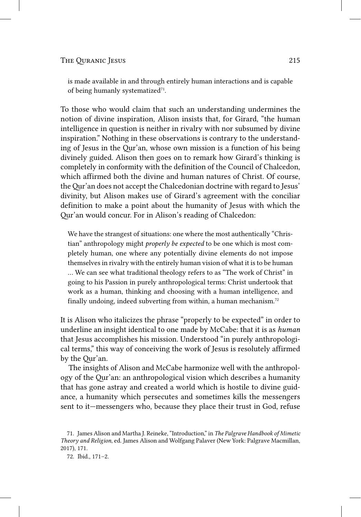is made available in and through entirely human interactions and is capable of being humanly systematized<sup>71</sup>.

To those who would claim that such an understanding undermines the notion of divine inspiration, Alison insists that, for Girard, "the human intelligence in question is neither in rivalry with nor subsumed by divine inspiration." Nothing in these observations is contrary to the understanding of Jesus in the Qur'an, whose own mission is a function of his being divinely guided. Alison then goes on to remark how Girard's thinking is completely in conformity with the definition of the Council of Chalcedon, which affirmed both the divine and human natures of Christ. Of course, the Qur'an does not accept the Chalcedonian doctrine with regard to Jesus' divinity, but Alison makes use of Girard's agreement with the conciliar definition to make a point about the humanity of Jesus with which the Qur'an would concur. For in Alison's reading of Chalcedon:

We have the strangest of situations: one where the most authentically "Christian" anthropology might *properly be expected* to be one which is most completely human, one where any potentially divine elements do not impose themselves in rivalry with the entirely human vision of what it is to be human … We can see what traditional theology refers to as "The work of Christ" in going to his Passion in purely anthropological terms: Christ undertook that work as a human, thinking and choosing with a human intelligence, and finally undoing, indeed subverting from within, a human mechanism.<sup>72</sup>

It is Alison who italicizes the phrase "properly to be expected" in order to underline an insight identical to one made by McCabe: that it is as *human* that Jesus accomplishes his mission. Understood "in purely anthropological terms," this way of conceiving the work of Jesus is resolutely affirmed by the Qur'an.

The insights of Alison and McCabe harmonize well with the anthropology of the Qur'an: an anthropological vision which describes a humanity that has gone astray and created a world which is hostile to divine guidance, a humanity which persecutes and sometimes kills the messengers sent to it—messengers who, because they place their trust in God, refuse

<sup>71.</sup> James Alison and Martha J. Reineke, "Introduction," in *The Palgrave Handbook of Mimetic Theory and Religion*, ed. James Alison and Wolfgang Palaver (New York: Palgrave Macmillan, 2017), 171.

<sup>72.</sup> Ibid., 171–2.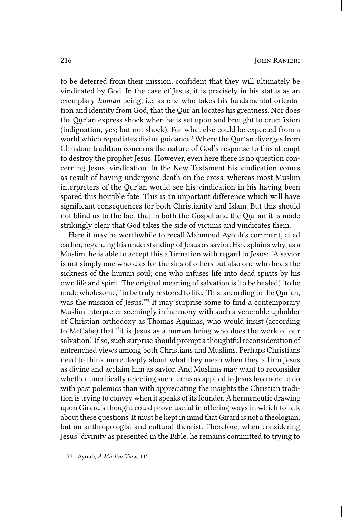to be deterred from their mission, confident that they will ultimately be vindicated by God. In the case of Jesus, it is precisely in his status as an exemplary *human* being, i.e. as one who takes his fundamental orientation and identity from God, that the Qur'an locates his greatness. Nor does the Qur'an express shock when he is set upon and brought to crucifixion (indignation, yes; but not shock). For what else could be expected from a world which repudiates divine guidance? Where the Qur'an diverges from Christian tradition concerns the nature of God's response to this attempt to destroy the prophet Jesus. However, even here there is no question concerning Jesus' vindication. In the New Testament his vindication comes as result of having undergone death on the cross, whereas most Muslim interpreters of the Qur'an would see his vindication in his having been spared this horrible fate. This is an important difference which will have significant consequences for both Christianity and Islam. But this should not blind us to the fact that in both the Gospel and the Qur'an it is made strikingly clear that God takes the side of victims and vindicates them.

Here it may be worthwhile to recall Mahmoud Ayoub's comment, cited earlier, regarding his understanding of Jesus as savior. He explains why, as a Muslim, he is able to accept this affirmation with regard to Jesus: "A savior is not simply one who dies for the sins of others but also one who heals the sickness of the human soul; one who infuses life into dead spirits by his own life and spirit. The original meaning of salvation is 'to be healed,' 'to be made wholesome,' 'to be truly restored to life.' This, according to the Qur'an, was the mission of Jesus."<sup>73</sup> It may surprise some to find a contemporary Muslim interpreter seemingly in harmony with such a venerable upholder of Christian orthodoxy as Thomas Aquinas, who would insist (according to McCabe) that "it is Jesus as a human being who does the work of our salvation." If so, such surprise should prompt a thoughtful reconsideration of entrenched views among both Christians and Muslims. Perhaps Christians need to think more deeply about what they mean when they affirm Jesus as divine and acclaim him as savior. And Muslims may want to reconsider whether uncritically rejecting such terms as applied to Jesus has more to do with past polemics than with appreciating the insights the Christian tradition is trying to convey when it speaks of its founder. A hermeneutic drawing upon Girard's thought could prove useful in offering ways in which to talk about these questions. It must be kept in mind that Girard is not a theologian, but an anthropologist and cultural theorist. Therefore, when considering Jesus' divinity as presented in the Bible, he remains committed to trying to

73. Ayoub, *A Muslim View*, 115.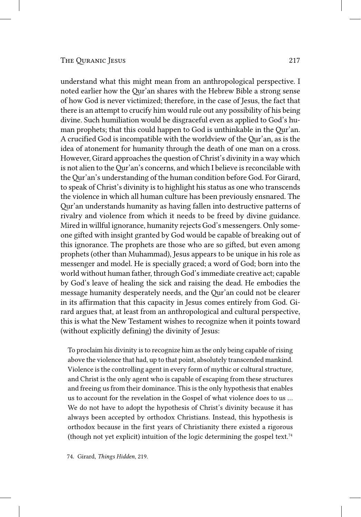understand what this might mean from an anthropological perspective. I noted earlier how the Qur'an shares with the Hebrew Bible a strong sense of how God is never victimized; therefore, in the case of Jesus, the fact that there is an attempt to crucify him would rule out any possibility of his being divine. Such humiliation would be disgraceful even as applied to God's human prophets; that this could happen to God is unthinkable in the Qur'an. A crucified God is incompatible with the worldview of the Qur'an, as is the idea of atonement for humanity through the death of one man on a cross. However, Girard approaches the question of Christ's divinity in a way which is not alien to the Qur'an's concerns, and which I believe is reconcilable with the Qur'an's understanding of the human condition before God. For Girard, to speak of Christ's divinity is to highlight his status as one who transcends the violence in which all human culture has been previously ensnared. The Qur'an understands humanity as having fallen into destructive patterns of rivalry and violence from which it needs to be freed by divine guidance. Mired in willful ignorance, humanity rejects God's messengers. Only someone gifted with insight granted by God would be capable of breaking out of this ignorance. The prophets are those who are so gifted, but even among prophets (other than Muhammad), Jesus appears to be unique in his role as messenger and model. He is specially graced; a word of God; born into the world without human father, through God's immediate creative act; capable by God's leave of healing the sick and raising the dead. He embodies the message humanity desperately needs, and the Qur'an could not be clearer in its affirmation that this capacity in Jesus comes entirely from God. Girard argues that, at least from an anthropological and cultural perspective, this is what the New Testament wishes to recognize when it points toward (without explicitly defining) the divinity of Jesus:

To proclaim his divinity is to recognize him as the only being capable of rising above the violence that had, up to that point, absolutely transcended mankind. Violence is the controlling agent in every form of mythic or cultural structure, and Christ is the only agent who is capable of escaping from these structures and freeing us from their dominance. This is the only hypothesis that enables us to account for the revelation in the Gospel of what violence does to us … We do not have to adopt the hypothesis of Christ's divinity because it has always been accepted by orthodox Christians. Instead, this hypothesis is orthodox because in the first years of Christianity there existed a rigorous (though not yet explicit) intuition of the logic determining the gospel text.<sup>74</sup>

74. Girard, *Things Hidden*, 219.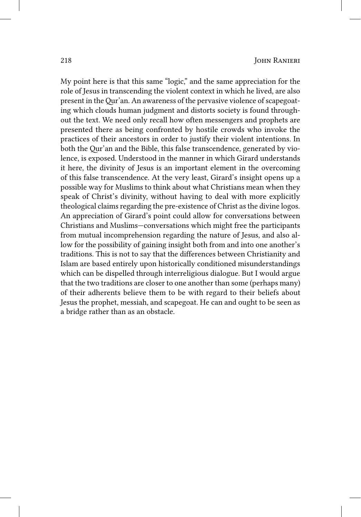My point here is that this same "logic," and the same appreciation for the role of Jesus in transcending the violent context in which he lived, are also present in the Qur'an. An awareness of the pervasive violence of scapegoating which clouds human judgment and distorts society is found throughout the text. We need only recall how often messengers and prophets are presented there as being confronted by hostile crowds who invoke the practices of their ancestors in order to justify their violent intentions. In both the Qur'an and the Bible, this false transcendence, generated by violence, is exposed. Understood in the manner in which Girard understands it here, the divinity of Jesus is an important element in the overcoming of this false transcendence. At the very least, Girard's insight opens up a possible way for Muslims to think about what Christians mean when they speak of Christ's divinity, without having to deal with more explicitly theological claims regarding the pre-existence of Christ as the divine logos. An appreciation of Girard's point could allow for conversations between Christians and Muslims—conversations which might free the participants from mutual incomprehension regarding the nature of Jesus, and also allow for the possibility of gaining insight both from and into one another's traditions. This is not to say that the differences between Christianity and Islam are based entirely upon historically conditioned misunderstandings which can be dispelled through interreligious dialogue. But I would argue that the two traditions are closer to one another than some (perhaps many) of their adherents believe them to be with regard to their beliefs about Jesus the prophet, messiah, and scapegoat. He can and ought to be seen as a bridge rather than as an obstacle.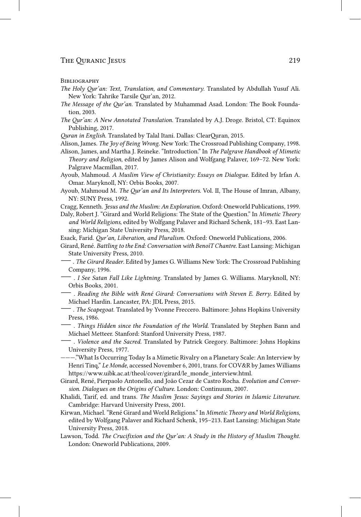#### **BIBLIOGRAPHY**

- *The Holy Qur'an: Text, Translation, and Commentary*. Translated by Abdullah Yusuf Ali. New York: Tahrike Tarsile Qur'an, 2012.
- *The Message of the Qur'an*. Translated by Muhammad Asad. London: The Book Foundation, 2003.
- *The Qur'an: A New Annotated Translation*. Translated by A.J. Droge. Bristol, CT: Equinox Publishing, 2017.

*Quran in English*. Translated by Talal Itani. Dallas: ClearQuran, 2015.

- Alison, James. *The Joy of Being Wrong*. New York: The Crossroad Publishing Company, 1998.
- Alison, James, and Martha J. Reineke. "Introduction." In *The Palgrave Handbook of Mimetic Theory and Religion*, edited by James Alison and Wolfgang Palaver, 169–72. New York: Palgrave Macmillan, 2017.
- Ayoub, Mahmoud. *A Muslim View of Christianity: Essays on Dialogue*. Edited by Irfan A. Omar. Maryknoll, NY: Orbis Books, 2007.
- Ayoub, Mahmoud M. *The Qur'an and Its Interpreters*. Vol. II, The House of Imran, Albany, NY: SUNY Press, 1992.
- Cragg, Kenneth. *Jesus and the Muslim: An Exploration*. Oxford: Oneworld Publications, 1999.
- Daly, Robert J. "Girard and World Religions: The State of the Question." In *Mimetic Theory and World Religions*, edited by Wolfgang Palaver and Richard Schenk, 181–93. East Lansing: Michigan State University Press, 2018.
- Esack, Farid. *Qur'an, Liberation, and Pluralism*. Oxford: Oneworld Publications, 2006.
- Girard, René. *Battling to the End: Conversation with BenoîT Chantre*. East Lansing: Michigan State University Press, 2010.
- —. *The Girard Reader*. Edited by James G. Williams New York: The Crossroad Publishing Company, 1996.
- . *I See Satan Fall Like Lightning*. Translated by James G. Williams. Maryknoll, NY: Orbis Books, 2001.
- . *Reading the Bible with René Girard: Conversations with Steven E. Berry*. Edited by Michael Hardin. Lancaster, PA: JDL Press, 2015.
- —. *The Scapegoat*. Translated by Yvonne Freccero. Baltimore: Johns Hopkins University Press, 1986.
- . *Things Hidden since the Foundation of the World*. Translated by Stephen Bann and Michael Metteer. Stanford: Stanford University Press, 1987.
- . *Violence and the Sacred*. Translated by Patrick Gregory. Baltimore: Johns Hopkins University Press, 1977.
- ———."What Is Occurring Today Is a Mimetic Rivalry on a Planetary Scale: An Interview by Henri Tinq," *Le Monde*, accessed November 6, 2001, trans. for COV&R by James Williams https://www.uibk.ac.at/theol/cover/girard/le\_monde\_interview.html.
- Girard, René, Pierpaolo Antonello, and João Cezar de Castro Rocha. *Evolution and Conversion. Dialogues on the Origins of Culture*. London: Continuum, 2007.
- Khalidi, Tarif, ed. and trans. *The Muslim Jesus: Sayings and Stories in Islamic Literature*. Cambridge: Harvard University Press, 2001.
- Kirwan, Michael. "René Girard and World Religions." In *Mimetic Theory and World Religions*, edited by Wolfgang Palaver and Richard Schenk, 195–213. East Lansing: Michigan State University Press, 2018.
- Lawson, Todd. *The Crucifixion and the Qur'an: A Study in the History of Muslim Thought*. London: Oneworld Publications, 2009.